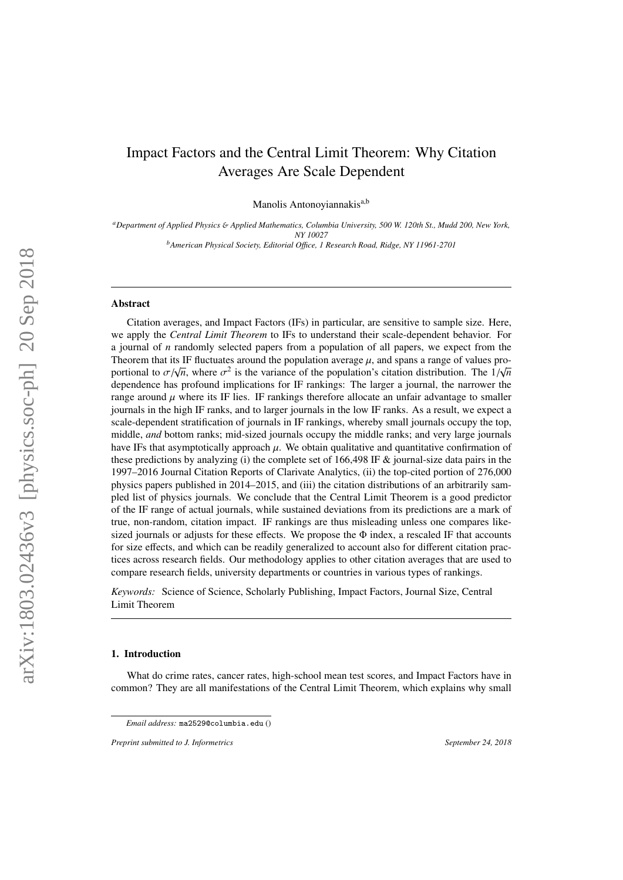# Impact Factors and the Central Limit Theorem: Why Citation Averages Are Scale Dependent

Manolis Antonoyiannakisa,b

*<sup>a</sup>Department of Applied Physics* & *Applied Mathematics, Columbia University, 500 W. 120th St., Mudd 200, New York, NY 10027 <sup>b</sup>American Physical Society, Editorial O*ffi*ce, 1 Research Road, Ridge, NY 11961-2701*

#### Abstract

Citation averages, and Impact Factors (IFs) in particular, are sensitive to sample size. Here, we apply the *Central Limit Theorem* to IFs to understand their scale-dependent behavior. For a journal of *n* randomly selected papers from a population of all papers, we expect from the Theorem that its IF fluctuates around the population average  $\mu$ , and spans a range of values pro-<br>portional to  $\sigma / \sqrt{\mu}$ , where  $\sigma^2$  is the variance of the population's citation distribution. The 1/ $\sqrt{\mu}$ reference that its increases around the population average  $\mu$ , and spans a range of values pro-<br>portional to  $\sigma/\sqrt{n}$ , where  $\sigma^2$  is the variance of the population's citation distribution. The 1/ $\sqrt{n}$ <br>dependence has dependence has profound implications for IF rankings: The larger a journal, the narrower the range around  $\mu$  where its IF lies. IF rankings therefore allocate an unfair advantage to smaller journals in the high IF ranks, and to larger journals in the low IF ranks. As a result, we expect a scale-dependent stratification of journals in IF rankings, whereby small journals occupy the top, middle, *and* bottom ranks; mid-sized journals occupy the middle ranks; and very large journals have IFs that asymptotically approach  $\mu$ . We obtain qualitative and quantitative confirmation of these predictions by analyzing (i) the complete set of  $166,498$  IF  $\&$  journal-size data pairs in the 1997–2016 Journal Citation Reports of Clarivate Analytics, (ii) the top-cited portion of 276,000 physics papers published in 2014–2015, and (iii) the citation distributions of an arbitrarily sampled list of physics journals. We conclude that the Central Limit Theorem is a good predictor of the IF range of actual journals, while sustained deviations from its predictions are a mark of true, non-random, citation impact. IF rankings are thus misleading unless one compares likesized journals or adjusts for these effects. We propose the  $\Phi$  index, a rescaled IF that accounts for size effects, and which can be readily generalized to account also for different citation practices across research fields. Our methodology applies to other citation averages that are used to compare research fields, university departments or countries in various types of rankings.

*Keywords:* Science of Science, Scholarly Publishing, Impact Factors, Journal Size, Central Limit Theorem

#### 1. Introduction

What do crime rates, cancer rates, high-school mean test scores, and Impact Factors have in common? They are all manifestations of the Central Limit Theorem, which explains why small

*Email address:* ma2529@columbia.edu ()

*Preprint submitted to J. Informetrics September 24, 2018*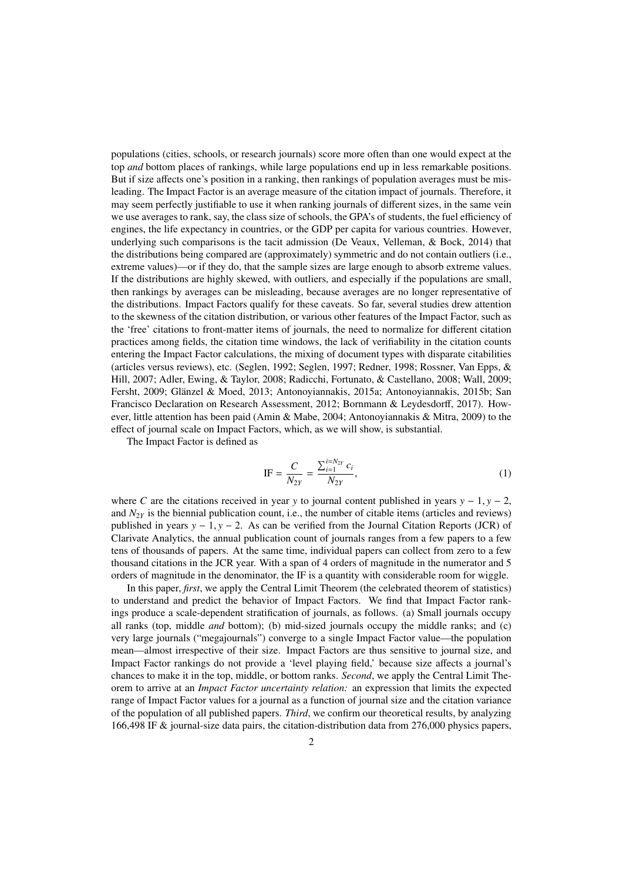populations (cities, schools, or research journals) score more often than one would expect at the top *and* bottom places of rankings, while large populations end up in less remarkable positions. But if size affects one's position in a ranking, then rankings of population averages must be misleading. The Impact Factor is an average measure of the citation impact of journals. Therefore, it may seem perfectly justifiable to use it when ranking journals of different sizes, in the same vein we use averages to rank, say, the class size of schools, the GPA's of students, the fuel efficiency of engines, the life expectancy in countries, or the GDP per capita for various countries. However, underlying such comparisons is the tacit admission (De Veaux, Velleman, & Bock, 2014) that the distributions being compared are (approximately) symmetric and do not contain outliers (i.e., extreme values)—or if they do, that the sample sizes are large enough to absorb extreme values. If the distributions are highly skewed, with outliers, and especially if the populations are small, then rankings by averages can be misleading, because averages are no longer representative of the distributions. Impact Factors qualify for these caveats. So far, several studies drew attention to the skewness of the citation distribution, or various other features of the Impact Factor, such as the 'free' citations to front-matter items of journals, the need to normalize for different citation practices among fields, the citation time windows, the lack of verifiability in the citation counts entering the Impact Factor calculations, the mixing of document types with disparate citabilities (articles versus reviews), etc. (Seglen, 1992; Seglen, 1997; Redner, 1998; Rossner, Van Epps, & Hill, 2007; Adler, Ewing, & Taylor, 2008; Radicchi, Fortunato, & Castellano, 2008; Wall, 2009; Fersht, 2009; Glanzel & Moed, 2013; Antonoyiannakis, 2015a; Antonoyiannakis, 2015b; San ¨ Francisco Declaration on Research Assessment, 2012; Bornmann & Leydesdorff, 2017). However, little attention has been paid (Amin & Mabe, 2004; Antonoyiannakis & Mitra, 2009) to the effect of journal scale on Impact Factors, which, as we will show, is substantial.

The Impact Factor is defined as

IF = 
$$
\frac{C}{N_{2Y}} = \frac{\sum_{i=1}^{i=N_{2Y}} c_i}{N_{2Y}},
$$
 (1)

where *C* are the citations received in year *y* to journal content published in years  $y - 1$ ,  $y - 2$ , and  $N_{2Y}$  is the biennial publication count, i.e., the number of citable items (articles and reviews) published in years *<sup>y</sup>* <sup>−</sup> <sup>1</sup>, *<sup>y</sup>* <sup>−</sup> 2. As can be verified from the Journal Citation Reports (JCR) of Clarivate Analytics, the annual publication count of journals ranges from a few papers to a few tens of thousands of papers. At the same time, individual papers can collect from zero to a few thousand citations in the JCR year. With a span of 4 orders of magnitude in the numerator and 5 orders of magnitude in the denominator, the IF is a quantity with considerable room for wiggle.

In this paper, *first*, we apply the Central Limit Theorem (the celebrated theorem of statistics) to understand and predict the behavior of Impact Factors. We find that Impact Factor rankings produce a scale-dependent stratification of journals, as follows. (a) Small journals occupy all ranks (top, middle *and* bottom); (b) mid-sized journals occupy the middle ranks; and (c) very large journals ("megajournals") converge to a single Impact Factor value—the population mean—almost irrespective of their size. Impact Factors are thus sensitive to journal size, and Impact Factor rankings do not provide a 'level playing field,' because size affects a journal's chances to make it in the top, middle, or bottom ranks. *Second*, we apply the Central Limit Theorem to arrive at an *Impact Factor uncertainty relation:* an expression that limits the expected range of Impact Factor values for a journal as a function of journal size and the citation variance of the population of all published papers. *Third*, we confirm our theoretical results, by analyzing 166,498 IF & journal-size data pairs, the citation-distribution data from 276,000 physics papers,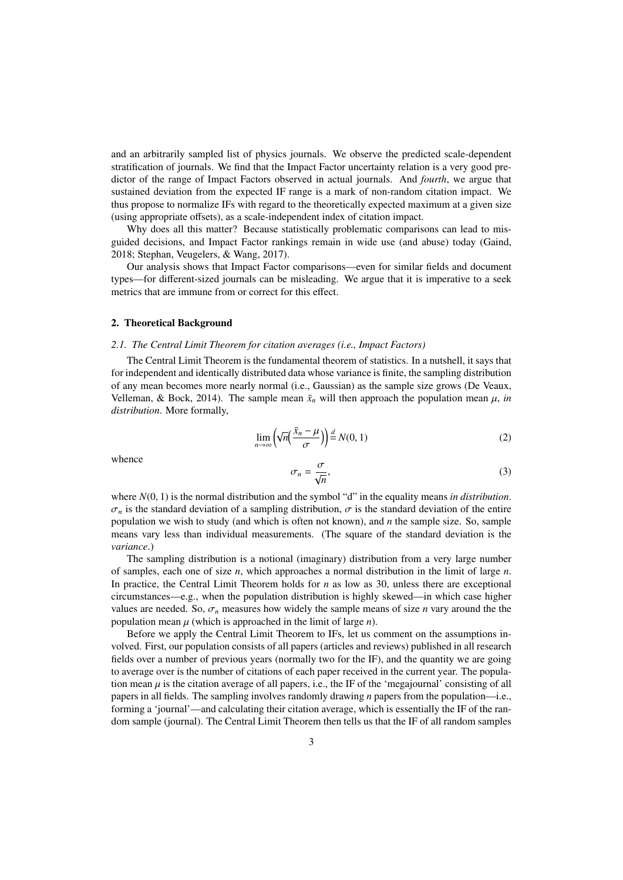and an arbitrarily sampled list of physics journals. We observe the predicted scale-dependent stratification of journals. We find that the Impact Factor uncertainty relation is a very good predictor of the range of Impact Factors observed in actual journals. And *fourth*, we argue that sustained deviation from the expected IF range is a mark of non-random citation impact. We thus propose to normalize IFs with regard to the theoretically expected maximum at a given size (using appropriate offsets), as a scale-independent index of citation impact.

Why does all this matter? Because statistically problematic comparisons can lead to misguided decisions, and Impact Factor rankings remain in wide use (and abuse) today (Gaind, 2018; Stephan, Veugelers, & Wang, 2017).

Our analysis shows that Impact Factor comparisons—even for similar fields and document types—for different-sized journals can be misleading. We argue that it is imperative to a seek metrics that are immune from or correct for this effect.

#### 2. Theoretical Background

#### <span id="page-2-1"></span>*2.1. The Central Limit Theorem for citation averages (i.e., Impact Factors)*

The Central Limit Theorem is the fundamental theorem of statistics. In a nutshell, it says that for independent and identically distributed data whose variance is finite, the sampling distribution of any mean becomes more nearly normal (i.e., Gaussian) as the sample size grows (De Veaux, Velleman, & Bock, 2014). The sample mean  $\bar{x}_n$  will then approach the population mean  $\mu$ , *in distribution*. More formally,

$$
\lim_{n \to \infty} \left( \sqrt{n} \left( \frac{\bar{x}_n - \mu}{\sigma} \right) \right) \stackrel{d}{=} N(0, 1) \tag{2}
$$

whence

<span id="page-2-0"></span>
$$
\sigma_n = \frac{\sigma}{\sqrt{n}},\tag{3}
$$

where *<sup>N</sup>*(0, 1) is the normal distribution and the symbol "d" in the equality means *in distribution*.  $\sigma_n$  is the standard deviation of a sampling distribution,  $\sigma$  is the standard deviation of the entire population we wish to study (and which is often not known), and *n* the sample size. So, sample means vary less than individual measurements. (The square of the standard deviation is the *variance*.)

The sampling distribution is a notional (imaginary) distribution from a very large number of samples, each one of size *n*, which approaches a normal distribution in the limit of large *n*. In practice, the Central Limit Theorem holds for *n* as low as 30, unless there are exceptional circumstances—e.g., when the population distribution is highly skewed—in which case higher values are needed. So,  $\sigma_n$  measures how widely the sample means of size *n* vary around the the population mean  $\mu$  (which is approached in the limit of large *n*).

Before we apply the Central Limit Theorem to IFs, let us comment on the assumptions involved. First, our population consists of all papers (articles and reviews) published in all research fields over a number of previous years (normally two for the IF), and the quantity we are going to average over is the number of citations of each paper received in the current year. The population mean  $\mu$  is the citation average of all papers, i.e., the IF of the 'megajournal' consisting of all papers in all fields. The sampling involves randomly drawing *n* papers from the population—i.e., forming a 'journal'—and calculating their citation average, which is essentially the IF of the random sample (journal). The Central Limit Theorem then tells us that the IF of all random samples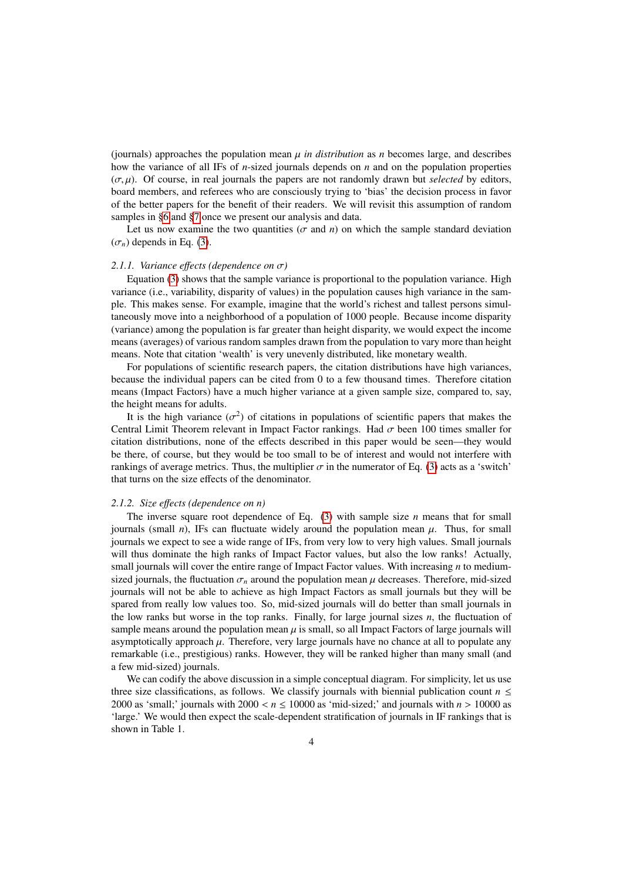(journals) approaches the population mean  $\mu$  *in distribution* as *n* becomes large, and describes how the variance of all IFs of *n*-sized journals depends on *n* and on the population properties  $(\sigma, u)$ . Of course, in real journals the papers are not randomly drawn but *selected* by editors, board members, and referees who are consciously trying to 'bias' the decision process in favor of the better papers for the benefit of their readers. We will revisit this assumption of random samples in §[6](#page-19-0) and §[7](#page-20-0) once we present our analysis and data.

Let us now examine the two quantities ( $\sigma$  and  $n$ ) on which the sample standard deviation  $(\sigma_n)$  depends in Eq. [\(3\)](#page-2-0).

#### *2.1.1. Variance e*ff*ects (dependence on* σ*)*

Equation [\(3\)](#page-2-0) shows that the sample variance is proportional to the population variance. High variance (i.e., variability, disparity of values) in the population causes high variance in the sample. This makes sense. For example, imagine that the world's richest and tallest persons simultaneously move into a neighborhood of a population of 1000 people. Because income disparity (variance) among the population is far greater than height disparity, we would expect the income means (averages) of various random samples drawn from the population to vary more than height means. Note that citation 'wealth' is very unevenly distributed, like monetary wealth.

For populations of scientific research papers, the citation distributions have high variances, because the individual papers can be cited from 0 to a few thousand times. Therefore citation means (Impact Factors) have a much higher variance at a given sample size, compared to, say, the height means for adults.

It is the high variance  $(\sigma^2)$  of citations in populations of scientific papers that makes the tral I imit Theorem relevant in Impact Factor rankings. Had  $\sigma$  been 100 times smaller for Central Limit Theorem relevant in Impact Factor rankings. Had  $\sigma$  been 100 times smaller for citation distributions, none of the effects described in this paper would be seen—they would be there, of course, but they would be too small to be of interest and would not interfere with rankings of average metrics. Thus, the multiplier  $\sigma$  in the numerator of Eq. [\(3\)](#page-2-0) acts as a 'switch' that turns on the size effects of the denominator.

#### <span id="page-3-0"></span>*2.1.2. Size e*ff*ects (dependence on n)*

The inverse square root dependence of Eq. [\(3\)](#page-2-0) with sample size *n* means that for small journals (small  $n$ ), IFs can fluctuate widely around the population mean  $\mu$ . Thus, for small journals we expect to see a wide range of IFs, from very low to very high values. Small journals will thus dominate the high ranks of Impact Factor values, but also the low ranks! Actually, small journals will cover the entire range of Impact Factor values. With increasing *n* to mediumsized journals, the fluctuation  $\sigma_n$  around the population mean  $\mu$  decreases. Therefore, mid-sized journals will not be able to achieve as high Impact Factors as small journals but they will be spared from really low values too. So, mid-sized journals will do better than small journals in the low ranks but worse in the top ranks. Finally, for large journal sizes *n*, the fluctuation of sample means around the population mean  $\mu$  is small, so all Impact Factors of large journals will asymptotically approach  $\mu$ . Therefore, very large journals have no chance at all to populate any remarkable (i.e., prestigious) ranks. However, they will be ranked higher than many small (and a few mid-sized) journals.

We can codify the above discussion in a simple conceptual diagram. For simplicity, let us use three size classifications, as follows. We classify journals with biennial publication count  $n \leq$ 2000 as 'small;' journals with 2000 < *<sup>n</sup>* <sup>≤</sup> 10000 as 'mid-sized;' and journals with *<sup>n</sup>* > 10000 as 'large.' We would then expect the scale-dependent stratification of journals in IF rankings that is shown in Table 1.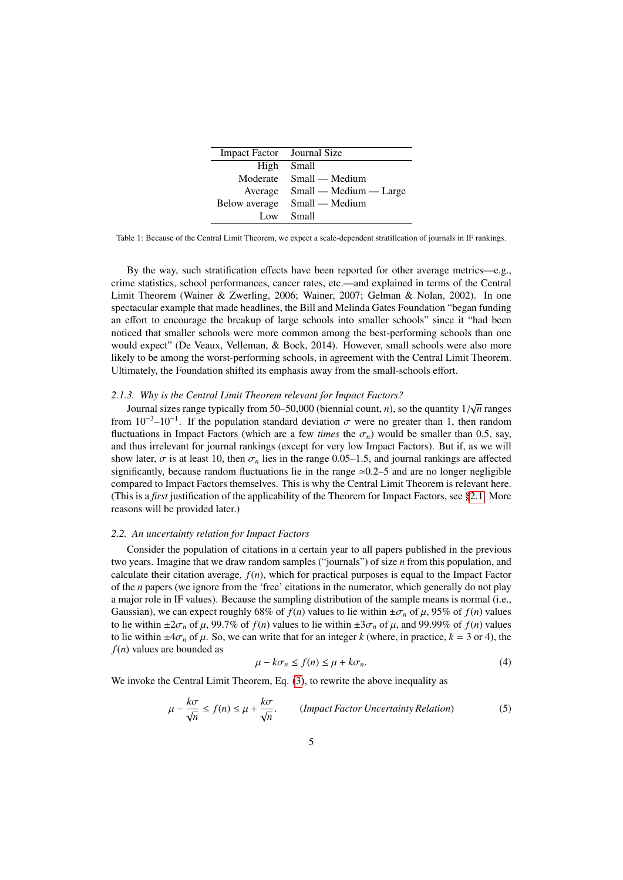| Impact Factor Journal Size |                                |
|----------------------------|--------------------------------|
|                            | High Small                     |
|                            | Moderate Small — Medium        |
|                            | Average Small — Medium — Large |
| Below average              | Small — Medium                 |
| Low                        | - Small                        |

Table 1: Because of the Central Limit Theorem, we expect a scale-dependent stratification of journals in IF rankings.

By the way, such stratification effects have been reported for other average metrics—e.g., crime statistics, school performances, cancer rates, etc.—and explained in terms of the Central Limit Theorem (Wainer & Zwerling, 2006; Wainer, 2007; Gelman & Nolan, 2002). In one spectacular example that made headlines, the Bill and Melinda Gates Foundation "began funding an effort to encourage the breakup of large schools into smaller schools" since it "had been noticed that smaller schools were more common among the best-performing schools than one would expect" (De Veaux, Velleman, & Bock, 2014). However, small schools were also more likely to be among the worst-performing schools, in agreement with the Central Limit Theorem. Ultimately, the Foundation shifted its emphasis away from the small-schools effort.

#### *2.1.3. Why is the Central Limit Theorem relevant for Impact Factors?*

Journal sizes range typically from 50–50,000 (biennial count, *n*), so the quantity  $1/\sqrt{n}$  ranges<br>n  $10^{-3}$ – $10^{-1}$ . If the population standard deviation  $\sigma$  were no greater than 1, then random from  $10^{-3}$ – $10^{-1}$ . If the population standard deviation  $\sigma$  were no greater than 1, then random fluctuations in Impact Factors (which are a few *times* the  $\sigma$ ) would be smaller than 0.5 say fluctuations in Impact Factors (which are a few *times* the  $\sigma_n$ ) would be smaller than 0.5, say, and thus irrelevant for journal rankings (except for very low Impact Factors). But if, as we will show later,  $\sigma$  is at least 10, then  $\sigma_n$  lies in the range 0.05–1.5, and journal rankings are affected significantly, because random fluctuations lie in the range  $\approx 0.2-5$  and are no longer negligible compared to Impact Factors themselves. This is why the Central Limit Theorem is relevant here. (This is a *first* justification of the applicability of the Theorem for Impact Factors, see §[2.1.](#page-2-1) More reasons will be provided later.)

#### <span id="page-4-1"></span>*2.2. An uncertainty relation for Impact Factors*

Consider the population of citations in a certain year to all papers published in the previous two years. Imagine that we draw random samples ("journals") of size *n* from this population, and calculate their citation average, *f*(*n*), which for practical purposes is equal to the Impact Factor of the *n* papers (we ignore from the 'free' citations in the numerator, which generally do not play a major role in IF values). Because the sampling distribution of the sample means is normal (i.e., Gaussian), we can expect roughly 68% of  $f(n)$  values to lie within  $\pm \sigma_n$  of  $\mu$ , 95% of  $f(n)$  values to lie within  $\pm 2\sigma_n$  of  $\mu$ , 99.7% of  $f(n)$  values to lie within  $\pm 3\sigma_n$  of  $\mu$ , and 99.99% of  $f(n)$  values to lie within  $\pm 4\sigma_n$  of  $\mu$ . So, we can write that for an integer *k* (where, in practice,  $k = 3$  or 4), the *f*(*n*) values are bounded as

$$
\mu - k\sigma_n \le f(n) \le \mu + k\sigma_n. \tag{4}
$$

We invoke the Central Limit Theorem, Eq. [\(3\)](#page-2-0), to rewrite the above inequality as

<span id="page-4-0"></span>
$$
\mu - \frac{k\sigma}{\sqrt{n}} \le f(n) \le \mu + \frac{k\sigma}{\sqrt{n}}.\qquad (Image Factor Uncertainty Relation)
$$
 (5)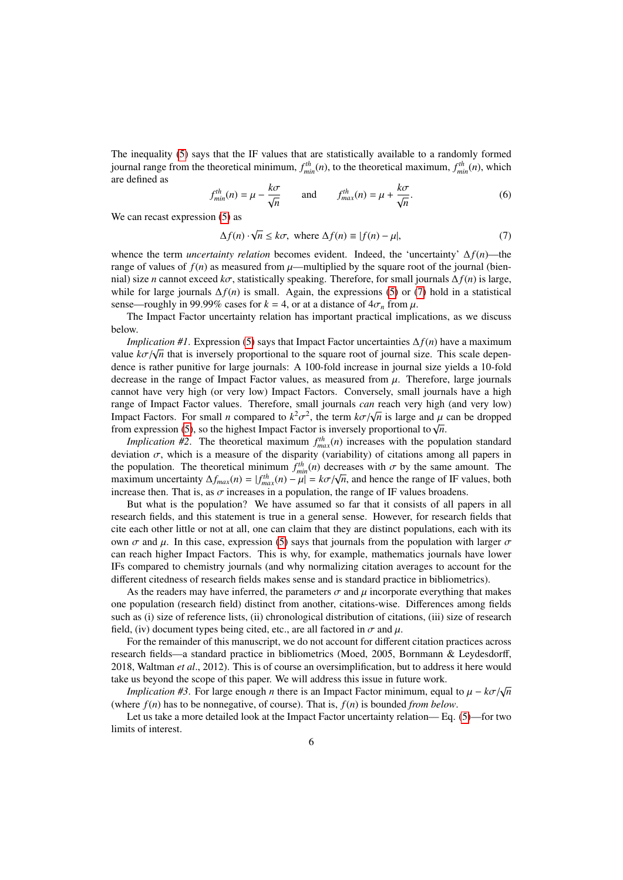The inequality [\(5\)](#page-4-0) says that the IF values that are statistically available to a randomly formed journal range from the theoretical minimum,  $f_{min}^{th}(n)$ , to the theoretical maximum,  $f_{min}^{th}(n)$ , which are defined as

<span id="page-5-1"></span>
$$
f_{min}^{th}(n) = \mu - \frac{k\sigma}{\sqrt{n}} \quad \text{and} \quad f_{max}^{th}(n) = \mu + \frac{k\sigma}{\sqrt{n}}.
$$
 (6)

We can recast expression  $(5)$  as

<span id="page-5-0"></span>
$$
\Delta f(n) \cdot \sqrt{n} \le k\sigma, \text{ where } \Delta f(n) \equiv |f(n) - \mu|,\tag{7}
$$

whence the term *uncertainty relation* becomes evident. Indeed, the 'uncertainty' ∆*f*(*n*)—the range of values of  $f(n)$  as measured from  $\mu$ —multiplied by the square root of the journal (biennial) size *n* cannot exceed  $k\sigma$ , statistically speaking. Therefore, for small journals  $\Delta f(n)$  is large, while for large journals  $\Delta f(n)$  is small. Again, the expressions [\(5\)](#page-4-0) or [\(7\)](#page-5-0) hold in a statistical sense—roughly in 99.99% cases for  $k = 4$ , or at a distance of  $4\sigma_n$  from  $\mu$ .

The Impact Factor uncertainty relation has important practical implications, as we discuss below.

*Implication #1*. Expression [\(5\)](#page-4-0) says that Impact Factor uncertainties ∆*f*(*n*) have a maximum *nhuctuon*  $\pi$ *i*. Expression (5) says that infeact ractor uncertainties  $\Delta f(t)$  have a maximum value  $k\sigma/\sqrt{n}$  that is inversely proportional to the square root of journal size. This scale dependence is rather punitive dence is rather punitive for large journals: A 100-fold increase in journal size yields a 10-fold decrease in the range of Impact Factor values, as measured from  $\mu$ . Therefore, large journals cannot have very high (or very low) Impact Factors. Conversely, small journals have a high range of Impact Factor values. Therefore, small journals *can* reach very high (and very low) Impact Factors. For small *n* compared to  $k^2\sigma^2$ , the term  $k\sigma/\sqrt{n}$  is large and  $\mu$  can be dropped from expression (5) so the bighest Impact Factor is inversely proportional to  $\sqrt{n}$ mipact ractors. For small *n* compared to  $\kappa$  *o*<sup>r</sup>, the term  $\kappa$ *o*<sup>r</sup>/ $\gamma$ *n* is large and  $\mu$  from expression [\(5\)](#page-4-0), so the highest Impact Factor is inversely proportional to  $\sqrt{n}$ .

*Implication #2*. The theoretical maximum  $f_{max}^{th}(n)$  increases with the population standard deviation  $\sigma$ , which is a measure of the disparity (variability) of citations among all papers in the population. The theoretical minimum  $f_{mn}^{th}(n)$  decreases with  $\sigma$  by the same amount. The maximum uncertainty  $\Delta f_{mn}(n) = |f^{th}(n) - \mu| = k \sigma \sqrt{n}$  and hence the range of IE values, both the population. The theoretical minimum  $f_{min}(n)$  decreases with  $\sigma$  by the same amount. The maximum uncertainty  $\Delta f_{max}(n) = |f_{max}^{\text{th}}(n) - \mu| = k\sigma/\sqrt{n}$ , and hence the range of IF values, both increase then That is as  $\sigma$ increase then. That is, as  $\sigma$  increases in a population, the range of IF values broadens.

But what is the population? We have assumed so far that it consists of all papers in all research fields, and this statement is true in a general sense. However, for research fields that cite each other little or not at all, one can claim that they are distinct populations, each with its own σ and μ. In this case, expression [\(5\)](#page-4-0) says that journals from the population with larger σ can reach higher Impact Factors. This is why, for example, mathematics journals have lower IFs compared to chemistry journals (and why normalizing citation averages to account for the different citedness of research fields makes sense and is standard practice in bibliometrics).

As the readers may have inferred, the parameters  $\sigma$  and  $\mu$  incorporate everything that makes one population (research field) distinct from another, citations-wise. Differences among fields such as (i) size of reference lists, (ii) chronological distribution of citations, (iii) size of research field, (iv) document types being cited, etc., are all factored in  $\sigma$  and  $\mu$ .

For the remainder of this manuscript, we do not account for different citation practices across research fields—a standard practice in bibliometrics (Moed, 2005, Bornmann & Leydesdorff, 2018, Waltman *et al*., 2012). This is of course an oversimplification, but to address it here would take us beyond the scope of this paper. We will address this issue in future work.

*Implication #3*. For large enough *n* there is an Impact Factor minimum, equal to  $\mu - k\sigma/\sqrt{n}$ <br>*Implication #3*. For large enough *n* there is an Impact Factor minimum, equal to  $\mu - k\sigma/\sqrt{n}$ (where *f*(*n*) has to be nonnegative, of course). That is, *f*(*n*) is bounded *from below*.

Let us take a more detailed look at the Impact Factor uncertainty relation— Eq. [\(5\)](#page-4-0)—for two limits of interest.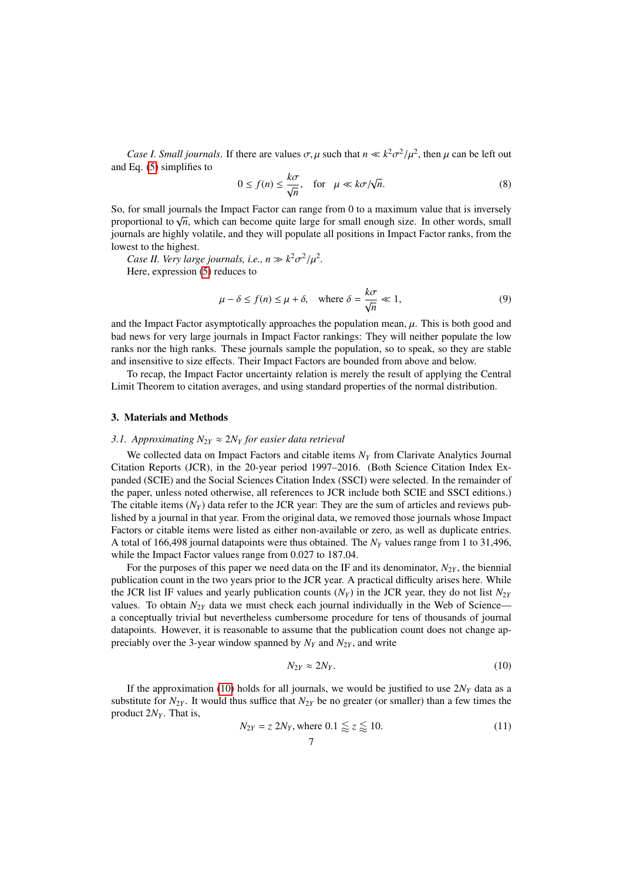*Case I. Small journals.* If there are values  $\sigma, \mu$  such that  $n \ll k^2$ <br>Eq. (5) simplifies to  $\frac{2}{\mu^2}$ , then  $\mu$  can be left out and Eq. [\(5\)](#page-4-0) simplifies to

<span id="page-6-2"></span>
$$
0 \le f(n) \le \frac{k\sigma}{\sqrt{n}}, \quad \text{for} \quad \mu \ll k\sigma/\sqrt{n}.\tag{8}
$$

So, for small journals the Impact Factor can range from 0 to a maximum value that is inversely proportional to<sup>√</sup> *n*, which can become quite large for small enough size. In other words, small journals are highly volatile, and they will populate all positions in Impact Factor ranks, from the lowest to the highest.

*Case II. Very large journals, i.e.,*  $n \gg k^2$  $^{2}/\mu^{2}$ . Here, expression [\(5\)](#page-4-0) reduces to

<span id="page-6-3"></span>
$$
\mu - \delta \le f(n) \le \mu + \delta, \quad \text{where } \delta = \frac{k\sigma}{\sqrt{n}} \ll 1,
$$
\n(9)

and the Impact Factor asymptotically approaches the population mean,  $\mu$ . This is both good and bad news for very large journals in Impact Factor rankings: They will neither populate the low ranks nor the high ranks. These journals sample the population, so to speak, so they are stable and insensitive to size effects. Their Impact Factors are bounded from above and below.

To recap, the Impact Factor uncertainty relation is merely the result of applying the Central Limit Theorem to citation averages, and using standard properties of the normal distribution.

# 3. Materials and Methods

# *3.1. Approximating*  $N_{2Y} \approx 2N_Y$  *for easier data retrieval*

We collected data on Impact Factors and citable items *N<sup>Y</sup>* from Clarivate Analytics Journal Citation Reports (JCR), in the 20-year period 1997–2016. (Both Science Citation Index Expanded (SCIE) and the Social Sciences Citation Index (SSCI) were selected. In the remainder of the paper, unless noted otherwise, all references to JCR include both SCIE and SSCI editions.) The citable items  $(N<sub>Y</sub>)$  data refer to the JCR year: They are the sum of articles and reviews published by a journal in that year. From the original data, we removed those journals whose Impact Factors or citable items were listed as either non-available or zero, as well as duplicate entries. A total of 166,498 journal datapoints were thus obtained. The *N<sup>Y</sup>* values range from 1 to 31,496, while the Impact Factor values range from 0.027 to 187.04.

For the purposes of this paper we need data on the IF and its denominator,  $N_{2Y}$ , the biennial publication count in the two years prior to the JCR year. A practical difficulty arises here. While the JCR list IF values and yearly publication counts  $(N<sub>Y</sub>)$  in the JCR year, they do not list  $N<sub>2Y</sub>$ values. To obtain  $N_{2Y}$  data we must check each journal individually in the Web of Science a conceptually trivial but nevertheless cumbersome procedure for tens of thousands of journal datapoints. However, it is reasonable to assume that the publication count does not change appreciably over the 3-year window spanned by  $N_Y$  and  $N_{2Y}$ , and write

<span id="page-6-0"></span>
$$
N_{2Y} \approx 2N_Y. \tag{10}
$$

If the approximation [\(10\)](#page-6-0) holds for all journals, we would be justified to use  $2N<sub>Y</sub>$  data as a substitute for  $N_{2Y}$ . It would thus suffice that  $N_{2Y}$  be no greater (or smaller) than a few times the product 2 $N_Y$ . That is,

<span id="page-6-1"></span>
$$
N_{2Y} = z \ 2N_Y, \text{where } 0.1 \lessapprox z \lessapprox 10. \tag{11}
$$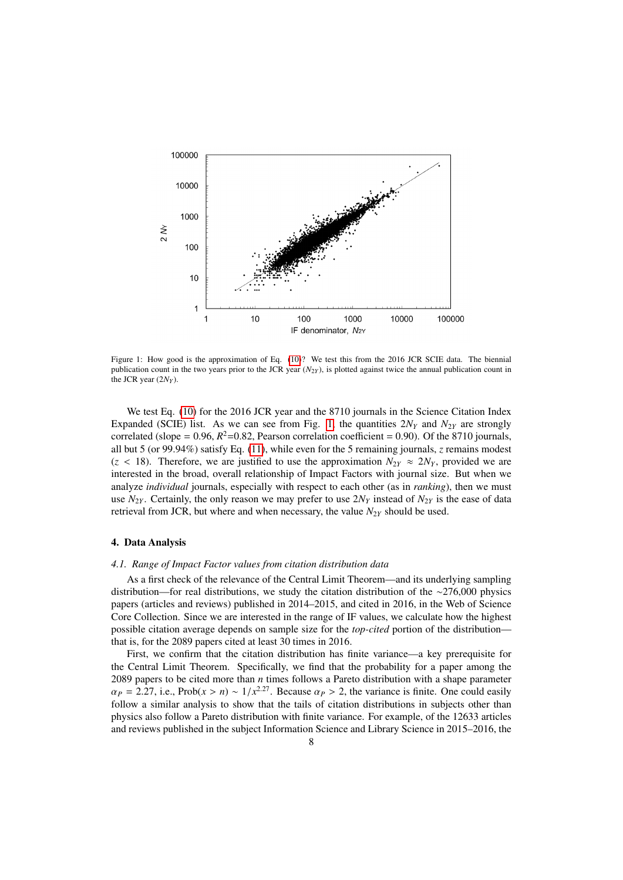

<span id="page-7-0"></span>Figure 1: How good is the approximation of Eq. [\(10\)](#page-6-0)? We test this from the 2016 JCR SCIE data. The biennial publication count in the two years prior to the JCR year  $(N_{2Y})$ , is plotted against twice the annual publication count in the JCR year  $(2N<sub>Y</sub>)$ .

We test Eq. [\(10\)](#page-6-0) for the 2016 JCR year and the 8710 journals in the Science Citation Index Expanded (SCIE) list. As we can see from Fig. [1,](#page-7-0) the quantities  $2N<sub>Y</sub>$  and  $N<sub>2Y</sub>$  are strongly correlated (slope = 0.96,  $R^2$ =0.82, Pearson correlation coefficient = 0.90). Of the 8710 journals, all but 5 (or 99.94%) satisfy Eq. (11) while even for the 5 remaining journals, z remains modest all but 5 (or 99.94%) satisfy Eq. [\(11\)](#page-6-1), while even for the 5 remaining journals, *z* remains modest (*z* < 18). Therefore, we are justified to use the approximation  $N_{2Y} \approx 2N_Y$ , provided we are interested in the broad, overall relationship of Impact Factors with journal size. But when we analyze *individual* journals, especially with respect to each other (as in *ranking*), then we must use  $N_{2Y}$ . Certainly, the only reason we may prefer to use  $2N_Y$  instead of  $N_{2Y}$  is the ease of data retrieval from JCR, but where and when necessary, the value  $N_{2Y}$  should be used.

# 4. Data Analysis

### *4.1. Range of Impact Factor values from citation distribution data*

As a first check of the relevance of the Central Limit Theorem—and its underlying sampling distribution—for real distributions, we study the citation distribution of the ∼276,000 physics papers (articles and reviews) published in 2014–2015, and cited in 2016, in the Web of Science Core Collection. Since we are interested in the range of IF values, we calculate how the highest possible citation average depends on sample size for the *top-cited* portion of the distribution that is, for the 2089 papers cited at least 30 times in 2016.

First, we confirm that the citation distribution has finite variance—a key prerequisite for the Central Limit Theorem. Specifically, we find that the probability for a paper among the 2089 papers to be cited more than *n* times follows a Pareto distribution with a shape parameter  $\alpha_P = 2.27$ , i.e., Prob( $x > n$ ) ∼ 1/ $x^{2.27}$ . Because  $\alpha_P > 2$ , the variance is finite. One could easily follow a similar analysis to show that the tails of citation distributions in subjects other than follow a similar analysis to show that the tails of citation distributions in subjects other than physics also follow a Pareto distribution with finite variance. For example, of the 12633 articles and reviews published in the subject Information Science and Library Science in 2015–2016, the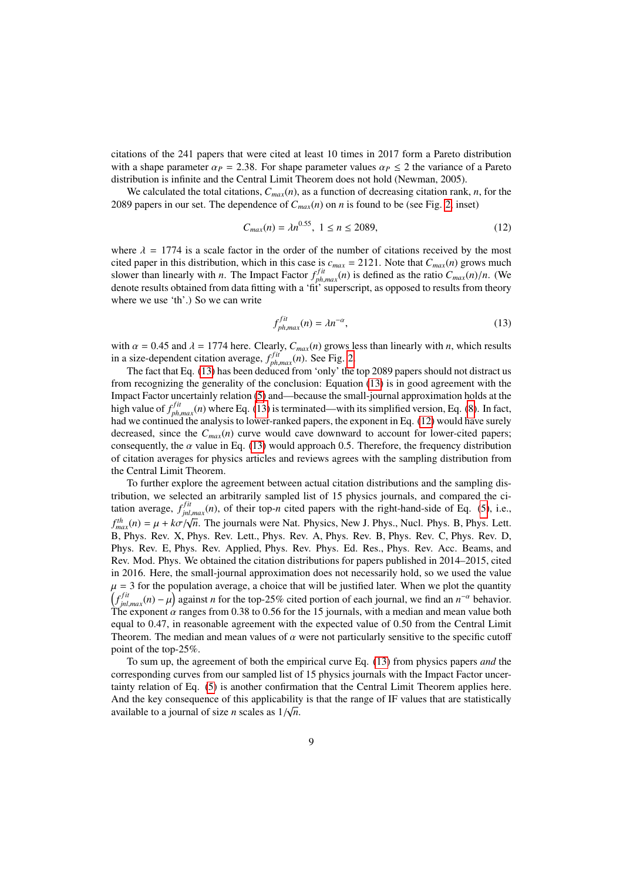citations of the 241 papers that were cited at least 10 times in 2017 form a Pareto distribution with a shape parameter  $\alpha_p = 2.38$ . For shape parameter values  $\alpha_p \leq 2$  the variance of a Pareto distribution is infinite and the Central Limit Theorem does not hold (Newman, 2005).

We calculated the total citations,  $C_{max}(n)$ , as a function of decreasing citation rank, *n*, for the 2089 papers in our set. The dependence of  $C_{max}(n)$  on *n* is found to be (see Fig. [2,](#page-9-0) inset)

<span id="page-8-1"></span>
$$
C_{max}(n) = \lambda n^{0.55}, \ 1 \le n \le 2089,\tag{12}
$$

where  $\lambda = 1774$  is a scale factor in the order of the number of citations received by the most cited paper in this distribution, which in this case is  $c_{max} = 2121$ . Note that  $C_{max}(n)$  grows much slower than linearly with *n*. The Impact Factor  $f_{nh}^{fit}$ slower than linearly with *n*. The Impact Factor  $f_{ph,max}^{JH}(n)$  is defined as the ratio  $C_{max}(n)/n$ . (We denote results obtained from data fitting with a 'fit' superscript, as opposed to results from theory where we use 'th'.) So we can write

<span id="page-8-0"></span>
$$
f_{ph,max}^{fit}(n) = \lambda n^{-\alpha},\tag{13}
$$

with  $\alpha = 0.45$  and  $\lambda = 1774$  here. Clearly,  $C_{max}(n)$  grows less than linearly with *n*, which results in a size-dependent citation average,  $f_{n_h max}^{fit}(n)$ . See Fig. 2.  $p_{h,max}^{(j,u)}(n)$ . See Fig. [2.](#page-9-0)<br>uced from 'only' the

The fact that Eq. [\(13\)](#page-8-0) has been deduced from 'only' the top 2089 papers should not distract us from recognizing the generality of the conclusion: Equation [\(13\)](#page-8-0) is in good agreement with the Impact Factor uncertainly relation [\(5\)](#page-4-0) and—because the small-journal approximation holds at the high value of  $f_{ph\,max}^{fit}(n)$  where Eq. [\(13\)](#page-8-0) is terminated—with its simplified version, Eq. [\(8\)](#page-6-2). In fact, *ph<sub>phmax</sub>*(*n*) where Eq. (15) is driminated with its simplified version, Eq. (6). In fact, that we continued the analysis to lower-ranked papers, the exponent in Eq. [\(12\)](#page-8-1) would have surely decreased, since the  $C_{max}(n)$  curve would cave downward to account for lower-cited papers; consequently, the  $\alpha$  value in Eq. [\(13\)](#page-8-0) would approach 0.5. Therefore, the frequency distribution of citation averages for physics articles and reviews agrees with the sampling distribution from the Central Limit Theorem.

To further explore the agreement between actual citation distributions and the sampling distribution, we selected an arbitrarily sampled list of 15 physics journals, and compared the citation average,  $f_{inl}^{fit}$  $j_l^{j_l}$ ,  $m_l^{j_l}$ , of their top-*n* cited papers with the right-hand-side of Eq. [\(5\)](#page-4-0), i.e.,  $l_l^{j_l}$ ,  $m_l^{j_l}$ ,  $m_l^{j_l}$ ,  $m_l^{j_l}$ ,  $m_l^{j_l}$ ,  $m_l^{j_l}$ ,  $m_l^{j_l}$ ,  $m_l^{j_l}$ ,  $m_l^{j_l}$ ,  $m_l^{j_l}$ ,  $m_l^{j_l}$ ,  $m_l^{j_l}$ ,  $m_l^{j_l}$  $f_{max}^{th}(n) = \mu + k\sigma/\sqrt{n}$ . The journals were Nat. Physics, New J. Phys., Nucl. Phys. B, Phys. Lett.<br>*R* Phys. Bev. X, Phys. Rev. Lett. Phys. Rev. A, Phys. Rev. R, Phys. B, Phys. Lett. B, Phys. Rev. X, Phys. Rev. Lett., Phys. Rev. A, Phys. Rev. B, Phys. Rev. C, Phys. Rev. D, Phys. Rev. E, Phys. Rev. Applied, Phys. Rev. Phys. Ed. Res., Phys. Rev. Acc. Beams, and Rev. Mod. Phys. We obtained the citation distributions for papers published in 2014–2015, cited in 2016. Here, the small-journal approximation does not necessarily hold, so we used the value  $\mu = 3$  for the population average, a choice that will be justified later. When we plot the quantity  $(f_{jnl,m\alpha}(n) - \mu)$  against *n* for the top-25% cited portion of each journal, we find an *n*<sup>-α</sup> behavior.<br>The exponent  $\alpha$  ranges from 0.38 to 0.56 for the 15 journals, with a median and mean value both  $j_{ph,max}(t)$   $\mu$  against *n* for the top 25 *n* cited portion of each journals, we find an *n* behavior.<br>The exponent  $\alpha$  ranges from 0.38 to 0.56 for the 15 journals, with a median and mean value both<br>equal to 0.47 in rea equal to 0.47, in reasonable agreement with the expected value of 0.50 from the Central Limit Theorem. The median and mean values of  $\alpha$  were not particularly sensitive to the specific cutoff point of the top-25%.

To sum up, the agreement of both the empirical curve Eq. [\(13\)](#page-8-0) from physics papers *and* the corresponding curves from our sampled list of 15 physics journals with the Impact Factor uncertainty relation of Eq. [\(5\)](#page-4-0) is another confirmation that the Central Limit Theorem applies here. And the key consequence of this applicability is that the range of IF values that are statistically available to a journal of size *n* scales as  $1/\sqrt{n}$ .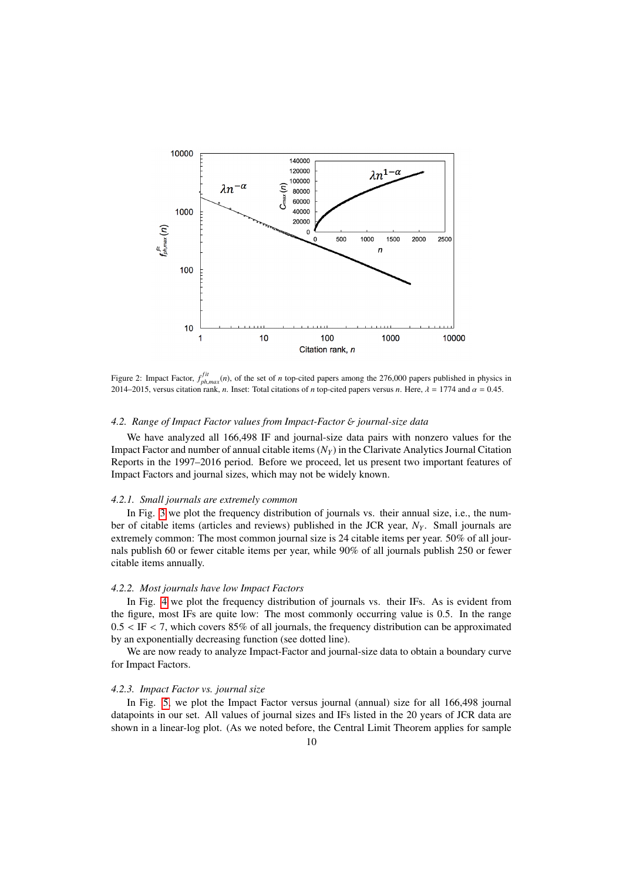

<span id="page-9-0"></span>Figure 2: Impact Factor,  $f_{ph,max}^{fit}(n)$ , of the set of *n* top-cited papers among the 276,000 papers published in physics in 2014–2015, versus citation rank *n*. Inset: Total citations of *n* top-cited papers versus *n*. He 2014–2015, versus citation rank, *n*. Inset: Total citations of *n* top-cited papers versus *n*. Here,  $\lambda = 1774$  and  $\alpha = 0.45$ .

# *4.2. Range of Impact Factor values from Impact-Factor* & *journal-size data*

We have analyzed all 166,498 IF and journal-size data pairs with nonzero values for the Impact Factor and number of annual citable items (*N<sup>Y</sup>* ) in the Clarivate Analytics Journal Citation Reports in the 1997–2016 period. Before we proceed, let us present two important features of Impact Factors and journal sizes, which may not be widely known.

#### *4.2.1. Small journals are extremely common*

In Fig. [3](#page-10-0) we plot the frequency distribution of journals vs. their annual size, i.e., the number of citable items (articles and reviews) published in the JCR year, *N<sup>Y</sup>* . Small journals are extremely common: The most common journal size is 24 citable items per year. 50% of all journals publish 60 or fewer citable items per year, while 90% of all journals publish 250 or fewer citable items annually.

# *4.2.2. Most journals have low Impact Factors*

In Fig. [4](#page-10-1) we plot the frequency distribution of journals vs. their IFs. As is evident from the figure, most IFs are quite low: The most commonly occurring value is 0.5. In the range  $0.5 <$  IF  $<$  7, which covers 85% of all journals, the frequency distribution can be approximated by an exponentially decreasing function (see dotted line).

We are now ready to analyze Impact-Factor and journal-size data to obtain a boundary curve for Impact Factors.

### <span id="page-9-1"></span>*4.2.3. Impact Factor vs. journal size*

In Fig. [5,](#page-11-0) we plot the Impact Factor versus journal (annual) size for all 166,498 journal datapoints in our set. All values of journal sizes and IFs listed in the 20 years of JCR data are shown in a linear-log plot. (As we noted before, the Central Limit Theorem applies for sample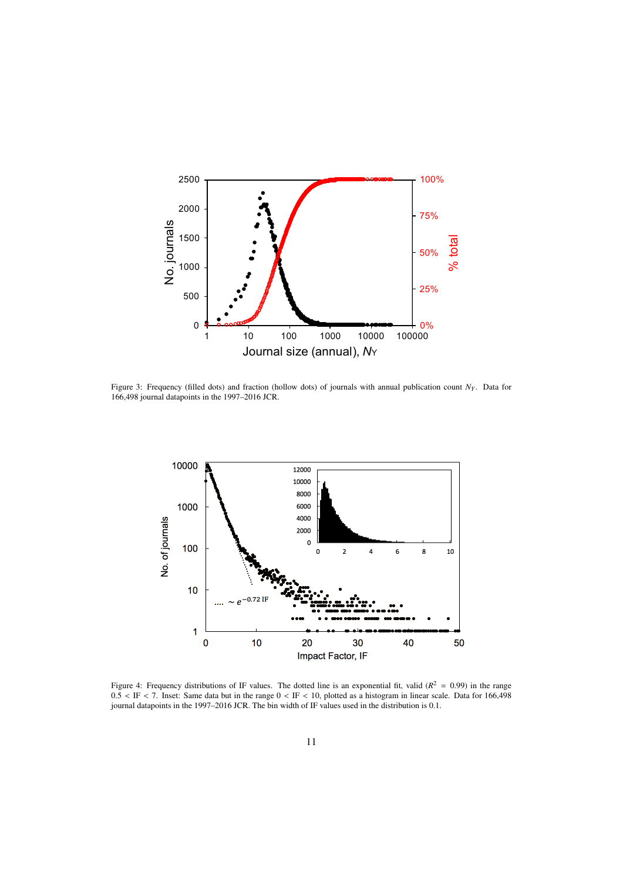

<span id="page-10-0"></span>Figure 3: Frequency (filled dots) and fraction (hollow dots) of journals with annual publication count *N<sup>Y</sup>* . Data for 166,498 journal datapoints in the 1997–2016 JCR.



<span id="page-10-1"></span>Figure 4: Frequency distributions of IF values. The dotted line is an exponential fit, valid  $(R^2 = 0.99)$  in the range  $0 \le E \le 10$  plotted as a histogram in linear scale. Data for 166.498  $0.5 <$  IF  $<$  7. Inset: Same data but in the range  $0 <$  IF  $<$  10, plotted as a histogram in linear scale. Data for 166,498 journal datapoints in the 1997–2016 JCR. The bin width of IF values used in the distribution is 0.1.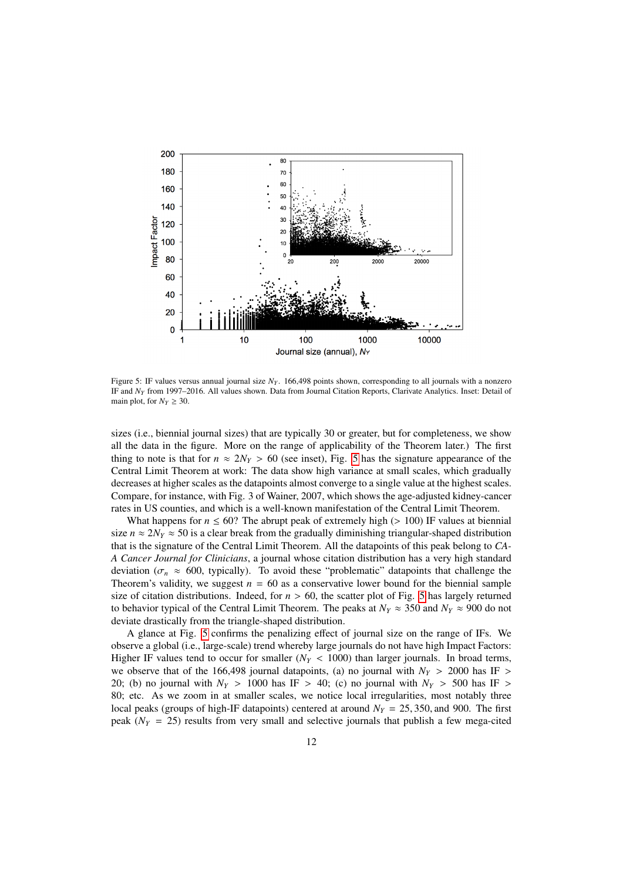

<span id="page-11-0"></span>Figure 5: IF values versus annual journal size *N<sup>Y</sup>* . 166,498 points shown, corresponding to all journals with a nonzero IF and *N<sup>Y</sup>* from 1997–2016. All values shown. Data from Journal Citation Reports, Clarivate Analytics. Inset: Detail of main plot, for  $N_Y \geq 30$ .

sizes (i.e., biennial journal sizes) that are typically 30 or greater, but for completeness, we show all the data in the figure. More on the range of applicability of the Theorem later.) The first thing to note is that for  $n \approx 2N_Y > 60$  (see inset), Fig. [5](#page-11-0) has the signature appearance of the Central Limit Theorem at work: The data show high variance at small scales, which gradually decreases at higher scales as the datapoints almost converge to a single value at the highest scales. Compare, for instance, with Fig. 3 of Wainer, 2007, which shows the age-adjusted kidney-cancer rates in US counties, and which is a well-known manifestation of the Central Limit Theorem.

What happens for  $n \leq 60$ ? The abrupt peak of extremely high ( $> 100$ ) IF values at biennial size  $n \approx 2N_y \approx 50$  is a clear break from the gradually diminishing triangular-shaped distribution that is the signature of the Central Limit Theorem. All the datapoints of this peak belong to *CA-A Cancer Journal for Clinicians*, a journal whose citation distribution has a very high standard deviation ( $\sigma_n \approx 600$ , typically). To avoid these "problematic" datapoints that challenge the Theorem's validity, we suggest  $n = 60$  as a conservative lower bound for the biennial sample size of citation distributions. Indeed, for  $n > 60$ , the scatter plot of Fig. [5](#page-11-0) has largely returned to behavior typical of the Central Limit Theorem. The peaks at  $N_Y \approx 350$  and  $N_Y \approx 900$  do not deviate drastically from the triangle-shaped distribution.

A glance at Fig. [5](#page-11-0) confirms the penalizing effect of journal size on the range of IFs. We observe a global (i.e., large-scale) trend whereby large journals do not have high Impact Factors: Higher IF values tend to occur for smaller  $(N_Y < 1000)$  than larger journals. In broad terms, we observe that of the 166,498 journal datapoints, (a) no journal with  $N_Y > 2000$  has IF > 20; (b) no journal with  $N_Y > 1000$  has IF  $> 40$ ; (c) no journal with  $N_Y > 500$  has IF  $>$ 80; etc. As we zoom in at smaller scales, we notice local irregularities, most notably three local peaks (groups of high-IF datapoints) centered at around  $N<sub>Y</sub> = 25,350,$  and 900. The first peak (*N<sup>Y</sup>* = 25) results from very small and selective journals that publish a few mega-cited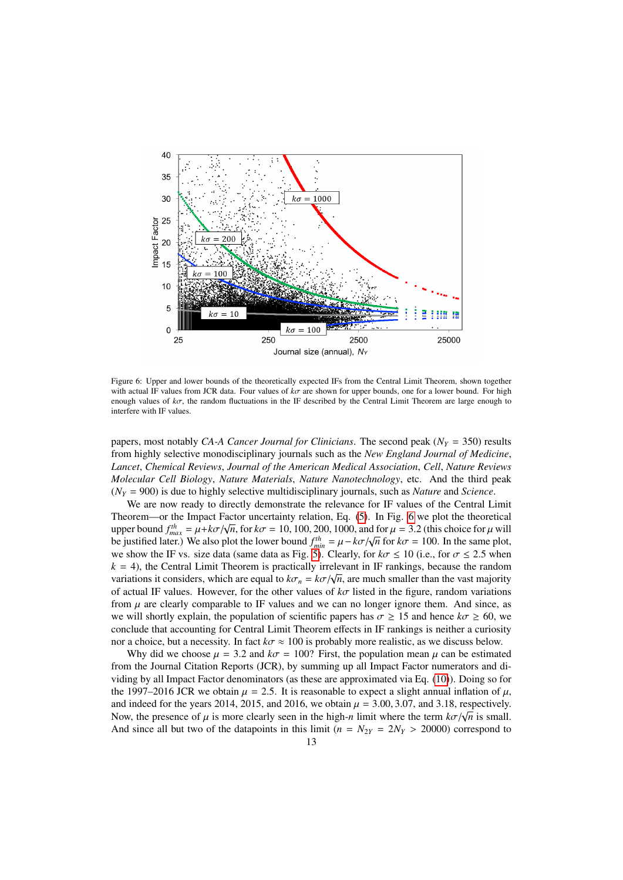

<span id="page-12-0"></span>Figure 6: Upper and lower bounds of the theoretically expected IFs from the Central Limit Theorem, shown together with actual IF values from JCR data. Four values of *<sup>k</sup>*σ are shown for upper bounds, one for a lower bound. For high enough values of *<sup>k</sup>*σ, the random fluctuations in the IF described by the Central Limit Theorem are large enough to interfere with IF values.

papers, most notably *CA-A Cancer Journal for Clinicians*. The second peak  $(N<sub>Y</sub> = 350)$  results from highly selective monodisciplinary journals such as the *New England Journal of Medicine*, *Lancet*, *Chemical Reviews*, *Journal of the American Medical Association*, *Cell*, *Nature Reviews Molecular Cell Biology*, *Nature Materials*, *Nature Nanotechnology*, etc. And the third peak (*N<sup>Y</sup>* = 900) is due to highly selective multidisciplinary journals, such as *Nature* and *Science*.

We are now ready to directly demonstrate the relevance for IF values of the Central Limit Theorem—or the Impact Factor uncertainty relation, Eq. [\(5\)](#page-4-0). In Fig. [6](#page-12-0) we plot the theoretical upper bound *f*<sup>th</sup><sub>ax</sub> = μ+kσ/ $\sqrt{n}$ , for kσ = 10, 100, 200, 1000, and for μ = 3.2 (this choice for μ will be justified later). We also nlot the lower bound *f*<sup>th</sup> =  $\mu$  =  $k\pi/\sqrt{n}$  for  $k\pi$  = 100. In the same nlot be justified later.) We also plot the lower bound  $f_{mn}^{th} = \mu - k\sigma/\sqrt{n}$  for  $k\sigma = 100$ . In the same plot, we show the IE vs. size data (same data as Fig. 5). Clearly for  $k\sigma < 10$  (i.e., for  $\sigma < 2.5$  when we show the IF vs. size data (same data as Fig. [5\)](#page-11-0). Clearly, for  $k\sigma \le 10$  (i.e., for  $\sigma \le 2.5$  when  $k = 4$ ), the Central Limit Theorem is practically irrelevant in IF rankings, because the random  $\kappa = 4$ ), the Central Elmit Theorem is practically intelevant in IF rankings, because the random<br>variations it considers, which are equal to  $k\sigma_n = k\sigma/\sqrt{n}$ , are much smaller than the vast majority<br>of actual IF values. Ho of actual IF values. However, for the other values of *<sup>k</sup>*σ listed in the figure, random variations from  $\mu$  are clearly comparable to IF values and we can no longer ignore them. And since, as we will shortly explain, the population of scientific papers has  $\sigma \ge 15$  and hence  $k\sigma \ge 60$ , we conclude that accounting for Central Limit Theorem effects in IF rankings is neither a curiosity nor a choice, but a necessity. In fact  $k\sigma \approx 100$  is probably more realistic, as we discuss below.

Why did we choose  $\mu = 3.2$  and  $k\sigma = 100$ ? First, the population mean  $\mu$  can be estimated from the Journal Citation Reports (JCR), by summing up all Impact Factor numerators and dividing by all Impact Factor denominators (as these are approximated via Eq. [\(10\)](#page-6-0)). Doing so for the 1997–2016 JCR we obtain  $\mu = 2.5$ . It is reasonable to expect a slight annual inflation of  $\mu$ , and indeed for the years 2014, 2015, and 2016, we obtain  $\mu = 3.00, 3.07$ , and 3.18, respectively. Now, the presence of  $\mu$  is more clearly seen in the high-*n* limit where the term  $k\sigma/\sqrt{n}$  is small.<br>And since all but two of the datapoints in this limit  $(n - N_0y - 2N_0 > 20000)$  correspond to And since all but two of the datapoints in this limit ( $n = N_{2Y} = 2N_Y > 20000$ ) correspond to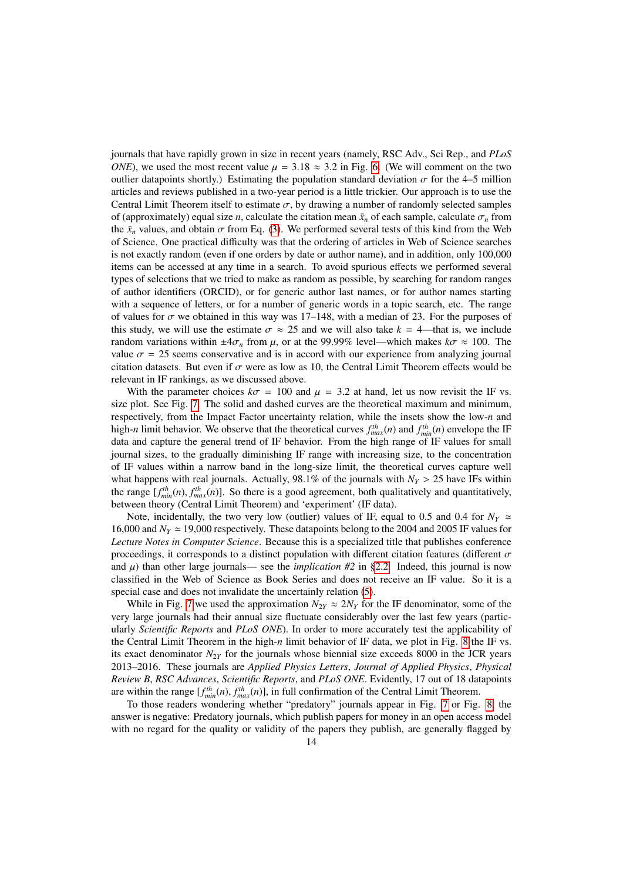journals that have rapidly grown in size in recent years (namely, RSC Adv., Sci Rep., and *PLoS ONE*), we used the most recent value  $\mu = 3.18 \approx 3.2$  in Fig. [6.](#page-12-0) (We will comment on the two outlier datapoints shortly.) Estimating the population standard deviation  $\sigma$  for the 4–5 million articles and reviews published in a two-year period is a little trickier. Our approach is to use the Central Limit Theorem itself to estimate  $\sigma$ , by drawing a number of randomly selected samples of (approximately) equal size *n*, calculate the citation mean  $\bar{x}_n$  of each sample, calculate  $\sigma_n$  from the  $\bar{x}_n$  values, and obtain  $\sigma$  from Eq. [\(3\)](#page-2-0). We performed several tests of this kind from the Web of Science. One practical difficulty was that the ordering of articles in Web of Science searches is not exactly random (even if one orders by date or author name), and in addition, only 100,000 items can be accessed at any time in a search. To avoid spurious effects we performed several types of selections that we tried to make as random as possible, by searching for random ranges of author identifiers (ORCID), or for generic author last names, or for author names starting with a sequence of letters, or for a number of generic words in a topic search, etc. The range of values for  $\sigma$  we obtained in this way was 17–148, with a median of 23. For the purposes of this study, we will use the estimate  $\sigma \approx 25$  and we will also take  $k = 4$ —that is, we include random variations within <sup>±</sup>4σ*<sup>n</sup>* from <sup>µ</sup>, or at the 99.99% level—which makes *<sup>k</sup>*<sup>σ</sup> <sup>≈</sup> 100. The value  $\sigma = 25$  seems conservative and is in accord with our experience from analyzing journal citation datasets. But even if  $\sigma$  were as low as 10, the Central Limit Theorem effects would be relevant in IF rankings, as we discussed above.

With the parameter choices  $k\sigma = 100$  and  $\mu = 3.2$  at hand, let us now revisit the IF vs. size plot. See Fig. [7.](#page-14-0) The solid and dashed curves are the theoretical maximum and minimum, respectively, from the Impact Factor uncertainty relation, while the insets show the low-*n* and high-*n* limit behavior. We observe that the theoretical curves  $f_{max}^{th}(n)$  and  $f_{min}^{th}(n)$  envelope the IF data and capture the general trend of IF behavior. From the high range of IF values for small journal sizes, to the gradually diminishing IF range with increasing size, to the concentration of IF values within a narrow band in the long-size limit, the theoretical curves capture well what happens with real journals. Actually,  $98.1\%$  of the journals with  $N_Y > 25$  have IFs within the range  $[f_{min}^{th}(n), f_{max}^{th}(n)]$ . So there is a good agreement, both qualitatively and quantitatively,<br>hetween theory (Central I imit Theorem) and 'experiment' (IE data) between theory (Central Limit Theorem) and 'experiment' (IF data).

Note, incidentally, the two very low (outlier) values of IF, equal to 0.5 and 0.4 for  $N_Y \approx$ 16,000 and  $N_Y \approx 19,000$  respectively. These datapoints belong to the 2004 and 2005 IF values for *Lecture Notes in Computer Science*. Because this is a specialized title that publishes conference proceedings, it corresponds to a distinct population with different citation features (different  $\sigma$ and  $\mu$ ) than other large journals— see the *implication* #2 in §[2.2.](#page-4-1) Indeed, this journal is now classified in the Web of Science as Book Series and does not receive an IF value. So it is a special case and does not invalidate the uncertainly relation [\(5\)](#page-4-0).

While in Fig. [7](#page-14-0) we used the approximation  $N_{2Y} \approx 2N_Y$  for the IF denominator, some of the very large journals had their annual size fluctuate considerably over the last few years (particularly *Scientific Reports* and *PLoS ONE*). In order to more accurately test the applicability of the Central Limit Theorem in the high-*n* limit behavior of IF data, we plot in Fig. [8](#page-15-0) the IF vs. its exact denominator  $N_{2Y}$  for the journals whose biennial size exceeds 8000 in the JCR years 2013–2016. These journals are *Applied Physics Letters*, *Journal of Applied Physics*, *Physical Review B*, *RSC Advances*, *Scientific Reports*, and *PLoS ONE*. Evidently, 17 out of 18 datapoints are within the range  $[f^{\text{th}}_{\text{min}}(n), f^{\text{th}}_{\text{max}}(n)]$ , in full confirmation of the Central Limit Theorem.<br>To those readers wondering whether "predatory" journals appear in Fig. 7 or Fig.

To those readers wondering whether "predatory" journals appear in Fig. [7](#page-14-0) or Fig. [8,](#page-15-0) the answer is negative: Predatory journals, which publish papers for money in an open access model with no regard for the quality or validity of the papers they publish, are generally flagged by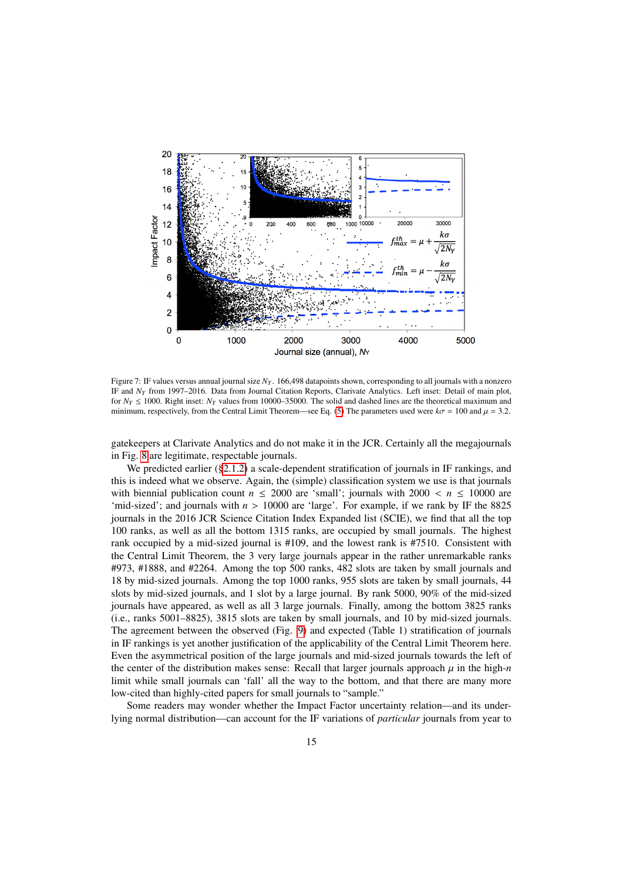

<span id="page-14-0"></span>Figure 7: IF values versus annual journal size *N<sup>Y</sup>* . 166,498 datapoints shown, corresponding to all journals with a nonzero IF and *N<sup>Y</sup>* from 1997–2016. Data from Journal Citation Reports, Clarivate Analytics. Left inset: Detail of main plot, for  $N_Y \le 1000$ . Right inset:  $N_Y$  values from 10000–35000. The solid and dashed lines are the theoretical maximum and minimum, respectively, from the Central Limit Theorem—see Eq. [\(5\)](#page-4-0) The parameters used were  $k\sigma = 100$  and  $\mu = 3.2$ .

gatekeepers at Clarivate Analytics and do not make it in the JCR. Certainly all the megajournals in Fig. [8](#page-15-0) are legitimate, respectable journals.

We predicted earlier (§[2.1.2\)](#page-3-0) a scale-dependent stratification of journals in IF rankings, and this is indeed what we observe. Again, the (simple) classification system we use is that journals with biennial publication count  $n \le 2000$  are 'small'; journals with 2000 <  $n \le 10000$  are 'mid-sized'; and journals with *<sup>n</sup>* > 10000 are 'large'. For example, if we rank by IF the 8825 journals in the 2016 JCR Science Citation Index Expanded list (SCIE), we find that all the top 100 ranks, as well as all the bottom 1315 ranks, are occupied by small journals. The highest rank occupied by a mid-sized journal is #109, and the lowest rank is #7510. Consistent with the Central Limit Theorem, the 3 very large journals appear in the rather unremarkable ranks #973, #1888, and #2264. Among the top 500 ranks, 482 slots are taken by small journals and 18 by mid-sized journals. Among the top 1000 ranks, 955 slots are taken by small journals, 44 slots by mid-sized journals, and 1 slot by a large journal. By rank 5000, 90% of the mid-sized journals have appeared, as well as all 3 large journals. Finally, among the bottom 3825 ranks (i.e., ranks 5001–8825), 3815 slots are taken by small journals, and 10 by mid-sized journals. The agreement between the observed (Fig. [9\)](#page-15-1) and expected (Table 1) stratification of journals in IF rankings is yet another justification of the applicability of the Central Limit Theorem here. Even the asymmetrical position of the large journals and mid-sized journals towards the left of the center of the distribution makes sense: Recall that larger journals approach  $\mu$  in the high-*n* limit while small journals can 'fall' all the way to the bottom, and that there are many more low-cited than highly-cited papers for small journals to "sample."

Some readers may wonder whether the Impact Factor uncertainty relation—and its underlying normal distribution—can account for the IF variations of *particular* journals from year to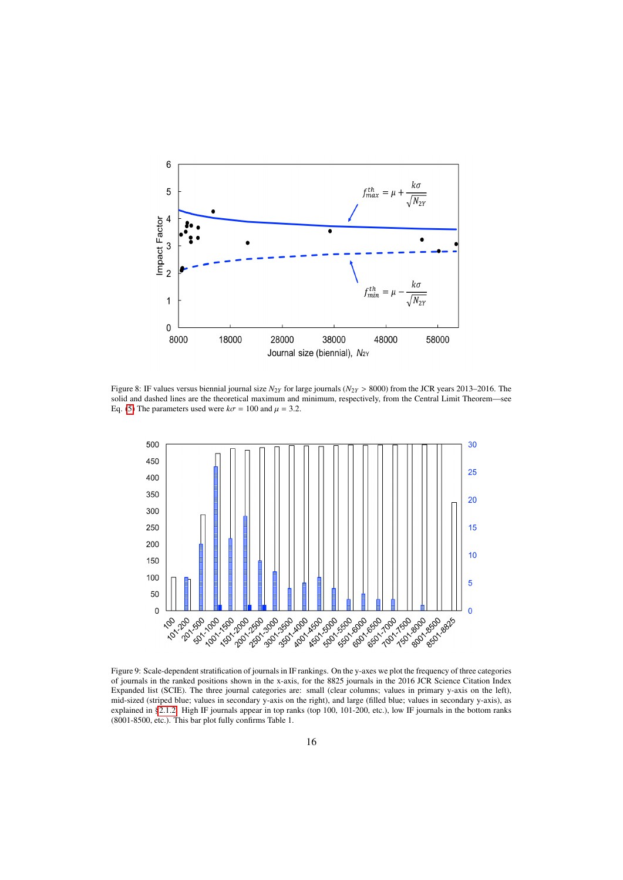

<span id="page-15-0"></span>Figure 8: IF values versus biennial journal size *<sup>N</sup>*2*<sup>Y</sup>* for large journals (*N*2*<sup>Y</sup>* <sup>&</sup>gt; 8000) from the JCR years 2013–2016. The solid and dashed lines are the theoretical maximum and minimum, respectively, from the Central Limit Theorem—see Eq. [\(5\)](#page-4-0) The parameters used were  $k\sigma = 100$  and  $\mu = 3.2$ .



<span id="page-15-1"></span>Figure 9: Scale-dependent stratification of journals in IF rankings. On the y-axes we plot the frequency of three categories of journals in the ranked positions shown in the x-axis, for the 8825 journals in the 2016 JCR Science Citation Index Expanded list (SCIE). The three journal categories are: small (clear columns; values in primary y-axis on the left), mid-sized (striped blue; values in secondary y-axis on the right), and large (filled blue; values in secondary y-axis), as explained in §[2.1.2.](#page-3-0) High IF journals appear in top ranks (top 100, 101-200, etc.), low IF journals in the bottom ranks (8001-8500, etc.). This bar plot fully confirms Table 1.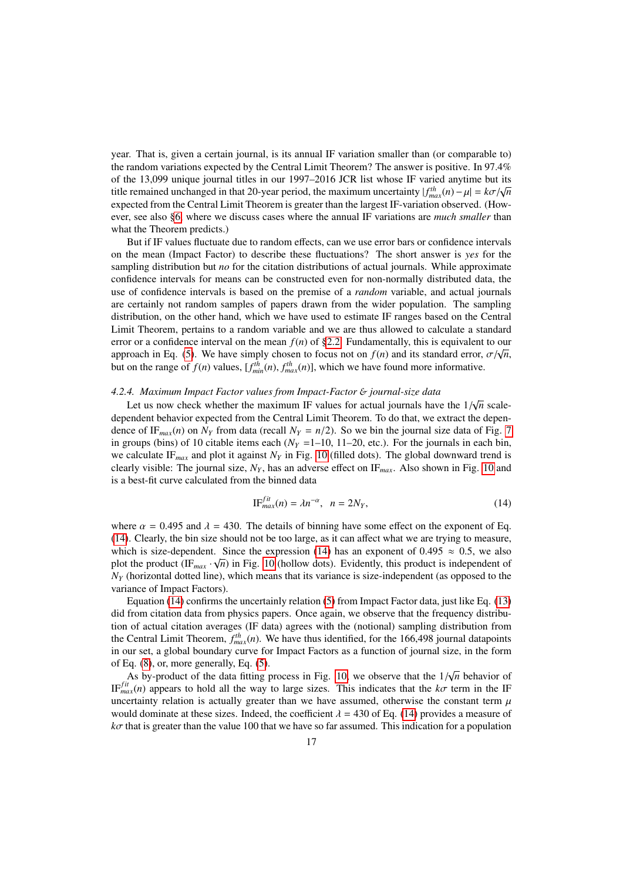year. That is, given a certain journal, is its annual IF variation smaller than (or comparable to) the random variations expected by the Central Limit Theorem? The answer is positive. In 97.4% of the 13,099 unique journal titles in our 1997–2016 JCR list whose IF varied anytime but its title remained unchanged in that 20-year period, the maximum uncertainty  $|f_{max}^h(n) - \mu| = k\sigma/\sqrt{n}$ <br>expected from the Central Limit Theorem is greater than the largest IE-variation observed. (Howexpected from the Central Limit Theorem is greater than the largest IF-variation observed. (However, see also §[6,](#page-19-0) where we discuss cases where the annual IF variations are *much smaller* than what the Theorem predicts.)

But if IF values fluctuate due to random effects, can we use error bars or confidence intervals on the mean (Impact Factor) to describe these fluctuations? The short answer is *yes* for the sampling distribution but *no* for the citation distributions of actual journals. While approximate confidence intervals for means can be constructed even for non-normally distributed data, the use of confidence intervals is based on the premise of a *random* variable, and actual journals are certainly not random samples of papers drawn from the wider population. The sampling distribution, on the other hand, which we have used to estimate IF ranges based on the Central Limit Theorem, pertains to a random variable and we are thus allowed to calculate a standard error or a confidence interval on the mean  $f(n)$  of §[2.2.](#page-4-1) Fundamentally, this is equivalent to our approach in Eq. [\(5\)](#page-4-0). We have simply chosen to focus not on  $f(n)$  and its standard error,  $\sigma/\sqrt{n}$ , approach in Eq. (5). We have simply chosen to focus not on  $f(n)$  and its standard error,  $\sigma/\sqrt{n}$ , but on the range of  $f(n)$  values,  $[f_{min}^{th}(n), f_{max}^{th}(n)]$ , which we have found more informative.

#### *4.2.4. Maximum Impact Factor values from Impact-Factor* & *journal-size data*

Fraction in the maximum IF values for actual journals have the  $1/\sqrt{n}$  scale-<br>Let us now check whether the maximum IF values for actual journals have the  $1/\sqrt{n}$  scale-<br>endent behavior expected from the Central Limit Theo dependent behavior expected from the Central Limit Theorem. To do that, we extract the dependence of IF<sub>max</sub>(*n*) on  $N_Y$  from data (recall  $N_Y = n/2$ ). So we bin the journal size data of Fig. [7](#page-14-0) in groups (bins) of 10 citable items each  $(N<sub>Y</sub> = 1-10, 11-20,$  etc.). For the journals in each bin, we calculate IF<sub>max</sub> and plot it against  $N_Y$  in Fig. [10](#page-17-0) (filled dots). The global downward trend is clearly visible: The journal size, *N<sup>Y</sup>* , has an adverse effect on IF*max*. Also shown in Fig. [10](#page-17-0) and is a best-fit curve calculated from the binned data

<span id="page-16-0"></span>
$$
\Pi_{max}^{fit}(n) = \lambda n^{-\alpha}, \quad n = 2N_Y,
$$
\n(14)

where  $\alpha = 0.495$  and  $\lambda = 430$ . The details of binning have some effect on the exponent of Eq. [\(14\)](#page-16-0). Clearly, the bin size should not be too large, as it can affect what we are trying to measure, which is size-dependent. Since the expression [\(14\)](#page-16-0) has an exponent of 0.495  $\approx$  0.5, we also plot the product (IE  $\rightarrow \sqrt{n}$ ) in Fig. 10 (bollow dots). Evidently this product is independent of plot the product  $(\text{IF}_{max} \cdot \sqrt{n})$  in Fig. [10](#page-17-0) (hollow dots). Evidently, this product is independent of *N<sup>Y</sup>* (horizontal dotted line), which means that its variance is size-independent (as opposed to the variance of Impact Factors).

Equation [\(14\)](#page-16-0) confirms the uncertainly relation [\(5\)](#page-4-0) from Impact Factor data, just like Eq. [\(13\)](#page-8-0) did from citation data from physics papers. Once again, we observe that the frequency distribution of actual citation averages (IF data) agrees with the (notional) sampling distribution from the Central Limit Theorem,  $f_{max}^{th}(n)$ . We have thus identified, for the 166,498 journal datapoints in our set, a global boundary curve for Impact Factors as a function of journal size, in the form of Eq. [\(8\)](#page-6-2), or, more generally, Eq. [\(5\)](#page-4-0).

As by-product of the data fitting process in Fig. [10,](#page-17-0) we observe that the  $1/\sqrt{n}$  behavior of As by-product of the data fitting process in Fig. 10, we observe that the  $1/\sqrt{n}$  behavior of  $\frac{1}{n}$  (*n*) appears to hold a  $IF_{max}^{fit}(n)$  appears to hold all the way to large sizes. This indicates that the *ko* term in the IF<br>uncertainty relation is actually greater than we have assumed, otherwise the constant term *u* uncertainty relation is actually greater than we have assumed, otherwise the constant term  $\mu$ would dominate at these sizes. Indeed, the coefficient  $\lambda = 430$  of Eq. [\(14\)](#page-16-0) provides a measure of *<sup>k</sup>*σ that is greater than the value 100 that we have so far assumed. This indication for a population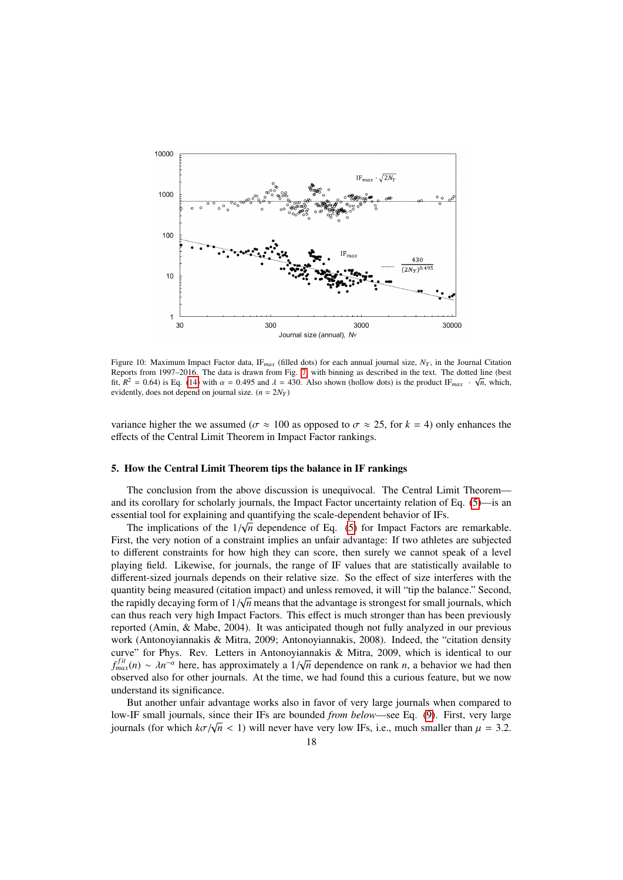

<span id="page-17-0"></span>Figure 10: Maximum Impact Factor data, IF<sub>max</sub> (filled dots) for each annual journal size,  $N_Y$ , in the Journal Citation Reports from 1997–2016. The data is drawn from Fig. [7,](#page-14-0) with binning as described in the text. The dotted line (best **Figure 1.64)** is Eq. [\(14\)](#page-16-0) with  $\alpha = 0.495$  and  $\lambda = 430$ . Also shown (hollow dots) is the product IF<sub>max</sub> ·  $\sqrt{n}$ , which, fit,  $R^2 = 0.64$  is Eq. (14) with  $\alpha = 0.495$  and  $\lambda = 430$ . Also shown (hollow dots) is the prod evidently, does not depend on journal size.  $(n = 2N<sub>Y</sub>)$ 

variance higher the we assumed ( $\sigma \approx 100$  as opposed to  $\sigma \approx 25$ , for  $k = 4$ ) only enhances the effects of the Central Limit Theorem in Impact Factor rankings.

#### 5. How the Central Limit Theorem tips the balance in IF rankings

The conclusion from the above discussion is unequivocal. The Central Limit Theorem and its corollary for scholarly journals, the Impact Factor uncertainty relation of Eq. [\(5\)](#page-4-0)—is an essential tool for explaining and quantifying the scale-dependent behavior of IFs.

The implications of the  $1/\sqrt{n}$  dependence of Eq. [\(5\)](#page-4-0) for Impact Factors are remarkable.<br>t the very notion of a constraint implies an unfair advantage: If two athletes are subjected First, the very notion of a constraint implies an unfair advantage: If two athletes are subjected to different constraints for how high they can score, then surely we cannot speak of a level playing field. Likewise, for journals, the range of IF values that are statistically available to different-sized journals depends on their relative size. So the effect of size interferes with the quantity being measured (citation impact) and unless removed, it will "tip the balance." Second, the rapidly decaying form of  $1/\sqrt{n}$  means that the advantage is strongest for small journals, which<br>can thus reach very high Impact Factors. This effect is much stronger than has been previously can thus reach very high Impact Factors. This effect is much stronger than has been previously reported (Amin, & Mabe, 2004). It was anticipated though not fully analyzed in our previous work (Antonoyiannakis & Mitra, 2009; Antonoyiannakis, 2008). Indeed, the "citation density curve" for Phys. Rev. Letters in Antonoyiannakis & Mitra, 2009, which is identical to our  $f_{max}^{fit}(n) \sim \lambda n^{-\alpha}$  here, has approximately a  $1/\sqrt{n}$  dependence on rank *n*, a behavior we had then<br>observed also for other journals. At the time, we had found this a curious feature, but we now observed also for other journals. At the time, we had found this a curious feature, but we now understand its significance.

But another unfair advantage works also in favor of very large journals when compared to low-IF small journals, since their IFs are bounded *from below*—see Eq. [\(9\)](#page-6-3). First, very large journals (for which  $k\sigma/\sqrt{n}$  < 1) will never have very low IFs, i.e., much smaller than  $\mu = 3.2$ .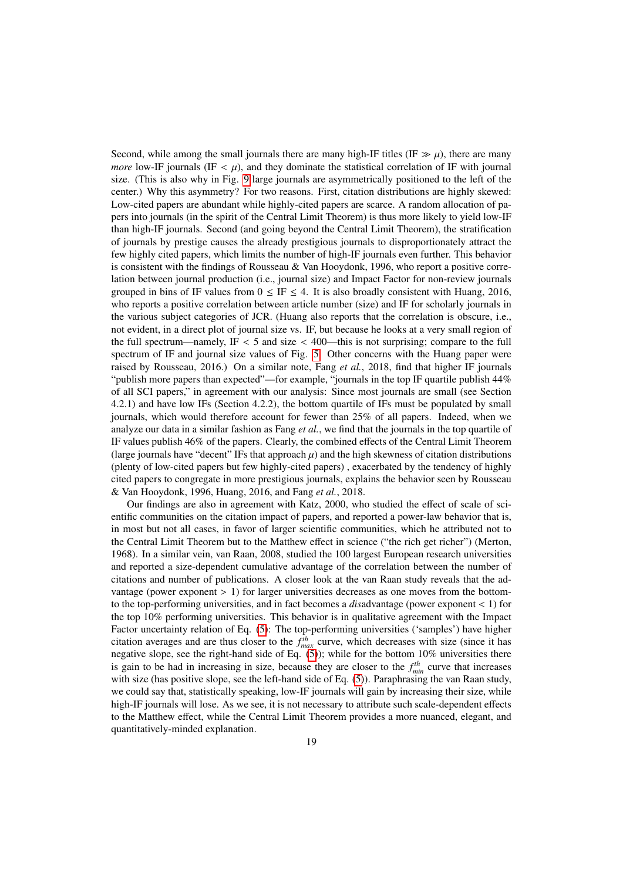Second, while among the small journals there are many high-IF titles (IF  $\gg \mu$ ), there are many *more* low-IF journals (IF  $\langle \mu \rangle$ , and they dominate the statistical correlation of IF with journal size. (This is also why in Fig. [9](#page-15-1) large journals are asymmetrically positioned to the left of the center.) Why this asymmetry? For two reasons. First, citation distributions are highly skewed: Low-cited papers are abundant while highly-cited papers are scarce. A random allocation of papers into journals (in the spirit of the Central Limit Theorem) is thus more likely to yield low-IF than high-IF journals. Second (and going beyond the Central Limit Theorem), the stratification of journals by prestige causes the already prestigious journals to disproportionately attract the few highly cited papers, which limits the number of high-IF journals even further. This behavior is consistent with the findings of Rousseau & Van Hooydonk, 1996, who report a positive correlation between journal production (i.e., journal size) and Impact Factor for non-review journals grouped in bins of IF values from  $0 \leq IF \leq 4$ . It is also broadly consistent with Huang, 2016, who reports a positive correlation between article number (size) and IF for scholarly journals in the various subject categories of JCR. (Huang also reports that the correlation is obscure, i.e., not evident, in a direct plot of journal size vs. IF, but because he looks at a very small region of the full spectrum—namely,  $IF < 5$  and size  $< 400$ —this is not surprising; compare to the full spectrum of IF and journal size values of Fig. [5.](#page-11-0) Other concerns with the Huang paper were raised by Rousseau, 2016.) On a similar note, Fang *et al.*, 2018, find that higher IF journals "publish more papers than expected"—for example, "journals in the top IF quartile publish 44% of all SCI papers," in agreement with our analysis: Since most journals are small (see Section 4.2.1) and have low IFs (Section 4.2.2), the bottom quartile of IFs must be populated by small journals, which would therefore account for fewer than 25% of all papers. Indeed, when we analyze our data in a similar fashion as Fang *et al.*, we find that the journals in the top quartile of IF values publish 46% of the papers. Clearly, the combined effects of the Central Limit Theorem (large journals have "decent" IFs that approach  $\mu$ ) and the high skewness of citation distributions (plenty of low-cited papers but few highly-cited papers) , exacerbated by the tendency of highly cited papers to congregate in more prestigious journals, explains the behavior seen by Rousseau & Van Hooydonk, 1996, Huang, 2016, and Fang *et al.*, 2018.

Our findings are also in agreement with Katz, 2000, who studied the effect of scale of scientific communities on the citation impact of papers, and reported a power-law behavior that is, in most but not all cases, in favor of larger scientific communities, which he attributed not to the Central Limit Theorem but to the Matthew effect in science ("the rich get richer") (Merton, 1968). In a similar vein, van Raan, 2008, studied the 100 largest European research universities and reported a size-dependent cumulative advantage of the correlation between the number of citations and number of publications. A closer look at the van Raan study reveals that the advantage (power exponent  $> 1$ ) for larger universities decreases as one moves from the bottomto the top-performing universities, and in fact becomes a *dis*advantage (power exponent < 1) for the top 10% performing universities. This behavior is in qualitative agreement with the Impact Factor uncertainty relation of Eq. [\(5\)](#page-4-0): The top-performing universities ('samples') have higher citation averages and are thus closer to the  $f_{max}^{th}$  curve, which decreases with size (since it has negative slope, see the right-hand side of Eq. [\(5\)](#page-4-0)); while for the bottom 10% universities there is gain to be had in increasing in size, because they are closer to the  $f_{min}^{th}$  curve that increases with size (has positive slope, see the left-hand side of Eq. [\(5\)](#page-4-0)). Paraphrasing the van Raan study, we could say that, statistically speaking, low-IF journals will gain by increasing their size, while high-IF journals will lose. As we see, it is not necessary to attribute such scale-dependent effects to the Matthew effect, while the Central Limit Theorem provides a more nuanced, elegant, and quantitatively-minded explanation.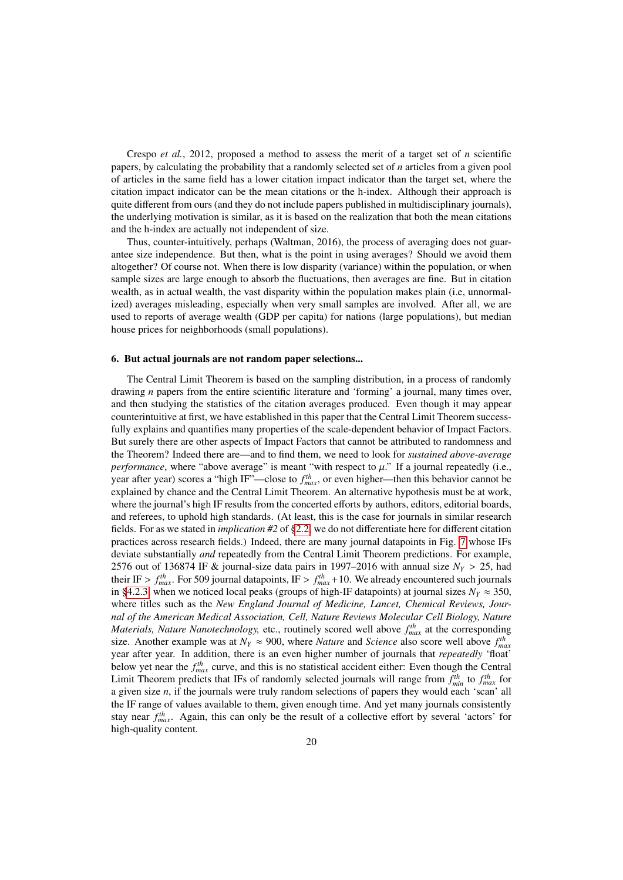Crespo *et al.*, 2012, proposed a method to assess the merit of a target set of *n* scientific papers, by calculating the probability that a randomly selected set of *n* articles from a given pool of articles in the same field has a lower citation impact indicator than the target set, where the citation impact indicator can be the mean citations or the h-index. Although their approach is quite different from ours (and they do not include papers published in multidisciplinary journals), the underlying motivation is similar, as it is based on the realization that both the mean citations and the h-index are actually not independent of size.

Thus, counter-intuitively, perhaps (Waltman, 2016), the process of averaging does not guarantee size independence. But then, what is the point in using averages? Should we avoid them altogether? Of course not. When there is low disparity (variance) within the population, or when sample sizes are large enough to absorb the fluctuations, then averages are fine. But in citation wealth, as in actual wealth, the vast disparity within the population makes plain (i.e, unnormalized) averages misleading, especially when very small samples are involved. After all, we are used to reports of average wealth (GDP per capita) for nations (large populations), but median house prices for neighborhoods (small populations).

# <span id="page-19-0"></span>6. But actual journals are not random paper selections...

The Central Limit Theorem is based on the sampling distribution, in a process of randomly drawing *n* papers from the entire scientific literature and 'forming' a journal, many times over, and then studying the statistics of the citation averages produced. Even though it may appear counterintuitive at first, we have established in this paper that the Central Limit Theorem successfully explains and quantifies many properties of the scale-dependent behavior of Impact Factors. But surely there are other aspects of Impact Factors that cannot be attributed to randomness and the Theorem? Indeed there are—and to find them, we need to look for *sustained above-average performance*, where "above average" is meant "with respect to  $\mu$ ." If a journal repeatedly (i.e., year after year) scores a "high IF"—close to  $f_{max}^{th}$ , or even higher—then this behavior cannot be explained by chance and the Central Limit Theorem. An alternative hypothesis must be at work, where the journal's high IF results from the concerted efforts by authors, editors, editorial boards, and referees, to uphold high standards. (At least, this is the case for journals in similar research fields. For as we stated in *implication #2* of §[2.2,](#page-4-1) we do not differentiate here for different citation practices across research fields.) Indeed, there are many journal datapoints in Fig. [7](#page-14-0) whose IFs deviate substantially *and* repeatedly from the Central Limit Theorem predictions. For example, 2576 out of 136874 IF & journal-size data pairs in 1997–2016 with annual size  $N_Y > 25$ , had their IF >  $f_{max}^{th}$ . For 509 journal datapoints, IF >  $f_{max}^{th}$  + 10. We already encountered such journals in 84.2.3, when we noticed local peaks (groups of bigh-IE datapoints) at journal sizes  $N_v \approx 350$ in §[4.2.3,](#page-9-1) when we noticed local peaks (groups of high-IF datapoints) at journal sizes  $N<sub>Y</sub> \approx 350$ , where titles such as the *New England Journal of Medicine, Lancet, Chemical Reviews, Journal of the American Medical Association, Cell, Nature Reviews Molecular Cell Biology, Nature Materials, Nature Nanotechnology, etc., routinely scored well above*  $f_{max}^{th}$  *at the corresponding* size. Another example was at  $N_Y \approx 900$ , where *Nature* and *Science* also score well above  $f_{max}^{th}$ year after year. In addition, there is an even higher number of journals that *repeatedly* 'float' below yet near the  $f_{max}^{th}$  curve, and this is no statistical accident either: Even though the Central Limit Theorem predicts that IFs of randomly selected journals will range from  $f_{min}^{th}$  to  $f_{max}^{th}$  for a given size *n*, if the journals were truly random selections of papers they would each 'scan' all the IF range of values available to them, given enough time. And yet many journals consistently stay near  $f_{max}^{th}$ . Again, this can only be the result of a collective effort by several 'actors' for high-quality content.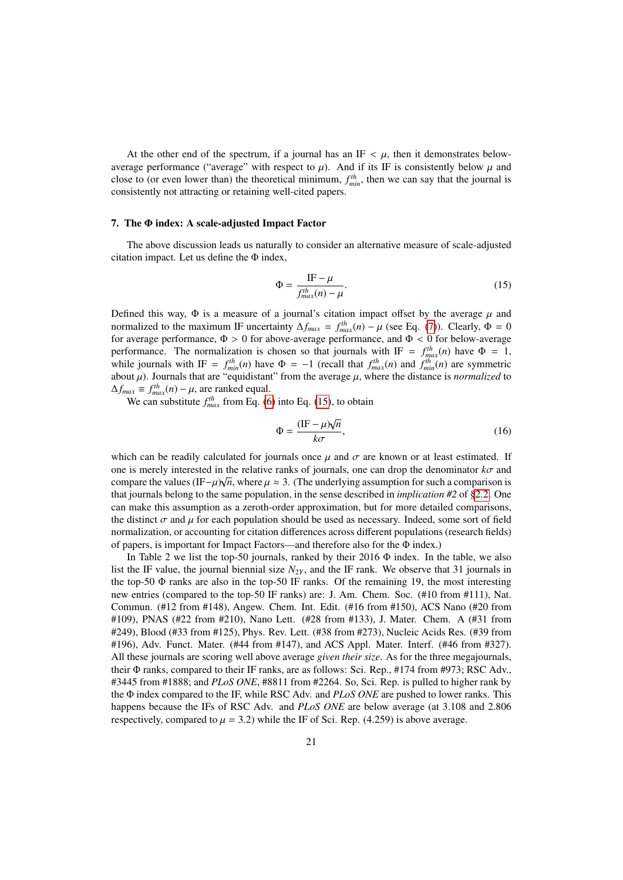At the other end of the spectrum, if a journal has an IF  $\lt \mu$ , then it demonstrates below-<br>average performance ("average" with respect to  $\mu$ ). And if its IF is consistently below  $\mu$  and average performance ("average" with respect to  $\mu$ ). And if its IF is consistently below  $\mu$  and close to (or even lower than) the theoretical minimum,  $f_{min}^{th}$ , then we can say that the journal is consistently not attracting or retaining well-cited papers.

# <span id="page-20-0"></span>7. The Φ index: A scale-adjusted Impact Factor

The above discussion leads us naturally to consider an alternative measure of scale-adjusted citation impact. Let us define the Φ index,

<span id="page-20-1"></span>
$$
\Phi = \frac{\text{IF} - \mu}{f_{max}^{th}(n) - \mu}.
$$
\n(15)

Defined this way,  $\Phi$  is a measure of a journal's citation impact offset by the average  $\mu$  and normalized to the maximum IF uncertainty  $\Delta f_{max} = f_{max}^{th}(n) - \mu$  (see Eq. [\(7\)](#page-5-0)). Clearly,  $\Phi = 0$  for average performance,  $\Phi > 0$  for above-average performance, and  $\Phi > 0$  for below-average for average performance,  $Φ > 0$  for above-average performance, and  $Φ < 0$  for below-average performance. The normalization is chosen so that journals with IF =  $f_{max}^{th}(n)$  have  $Φ = 1$ , while journals with IF =  $f_{min}^{th}(n)$  have  $\Phi = -1$  (recall that  $f_{max}^{th}(n)$  and  $f_{min}^{th}(n)$  are symmetric about  $\mu$ ). Journals that are "equidistant" from the average  $\mu$ , where the distance is *normalized* to  $\Delta f_{max} \equiv f_{max}^{th}(n) - \mu$ , are ranked equal.<br>We can substitute  $f^{th}$  from Eq. (6)

We can substitute  $f_{max}^{th}$  from Eq. [\(6\)](#page-5-1) into Eq. [\(15\)](#page-20-1), to obtain

<span id="page-20-2"></span>
$$
\Phi = \frac{(\text{IF} - \mu)\sqrt{n}}{k\sigma},\tag{16}
$$

which can be readily calculated for journals once  $\mu$  and  $\sigma$  are known or at least estimated. If one is merely interested in the relative ranks of journals, one can drop the denominator  $k\sigma$  and<br>compare the values  $(E-\mu)$  *n*, where  $\mu \approx 3$ . (The underlying assumption for such a comparison is compare the values (IF− $\mu$ ) $\sqrt{n}$ , where  $\mu \approx 3$ . (The underlying assumption for such a comparison is that journals belong to the same population in the sense described in *implication* #2 of 82.2. One that journals belong to the same population, in the sense described in *implication #2* of §[2.2.](#page-4-1) One can make this assumption as a zeroth-order approximation, but for more detailed comparisons, the distinct  $\sigma$  and  $\mu$  for each population should be used as necessary. Indeed, some sort of field normalization, or accounting for citation differences across different populations (research fields) of papers, is important for Impact Factors—and therefore also for the Φ index.)

In Table 2 we list the top-50 journals, ranked by their 2016  $\Phi$  index. In the table, we also list the IF value, the journal biennial size  $N_{2Y}$ , and the IF rank. We observe that 31 journals in the top-50  $\Phi$  ranks are also in the top-50 IF ranks. Of the remaining 19, the most interesting new entries (compared to the top-50 IF ranks) are: J. Am. Chem. Soc. (#10 from #111), Nat. Commun. (#12 from #148), Angew. Chem. Int. Edit. (#16 from #150), ACS Nano (#20 from #109), PNAS (#22 from #210), Nano Lett. (#28 from #133), J. Mater. Chem. A (#31 from #249), Blood (#33 from #125), Phys. Rev. Lett. (#38 from #273), Nucleic Acids Res. (#39 from #196), Adv. Funct. Mater. (#44 from #147), and ACS Appl. Mater. Interf. (#46 from #327). All these journals are scoring well above average *given their size*. As for the three megajournals, their Φ ranks, compared to their IF ranks, are as follows: Sci. Rep., #174 from #973; RSC Adv., #3445 from #1888; and *PLoS ONE*, #8811 from #2264. So, Sci. Rep. is pulled to higher rank by the Φ index compared to the IF, while RSC Adv. and *PLoS ONE* are pushed to lower ranks. This happens because the IFs of RSC Adv. and *PLoS ONE* are below average (at 3.108 and 2.806 respectively, compared to  $\mu = 3.2$ ) while the IF of Sci. Rep. (4.259) is above average.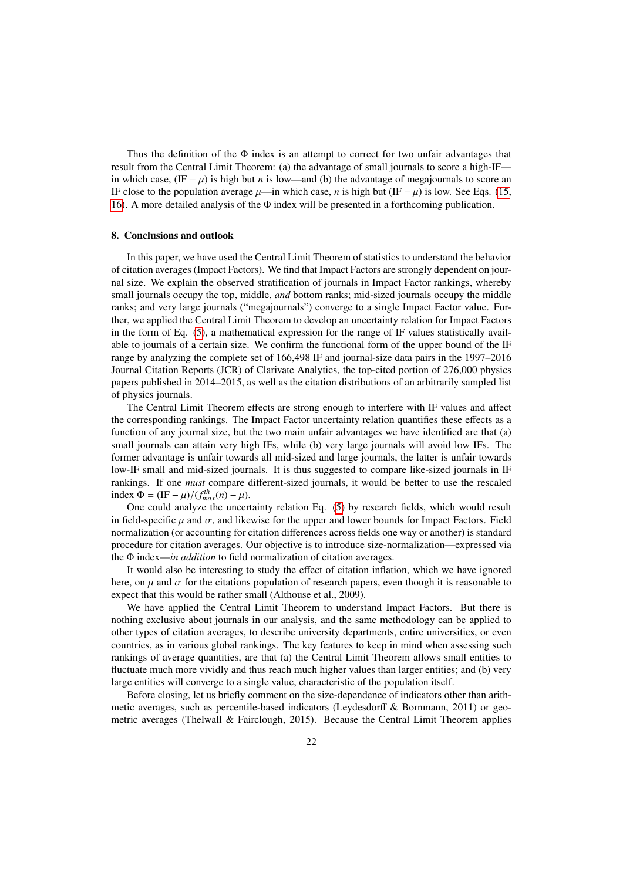Thus the definition of the  $\Phi$  index is an attempt to correct for two unfair advantages that result from the Central Limit Theorem: (a) the advantage of small journals to score a high-IF in which case,  $(\text{IF} - \mu)$  is high but *n* is low—and (b) the advantage of megajournals to score an IF close to the population average  $\mu$ —in which case, *n* is high but (IF −  $\mu$ ) is low. See Eqs. [\(15,](#page-20-1) [16\)](#page-20-2). A more detailed analysis of the Φ index will be presented in a forthcoming publication.

#### 8. Conclusions and outlook

In this paper, we have used the Central Limit Theorem of statistics to understand the behavior of citation averages (Impact Factors). We find that Impact Factors are strongly dependent on journal size. We explain the observed stratification of journals in Impact Factor rankings, whereby small journals occupy the top, middle, *and* bottom ranks; mid-sized journals occupy the middle ranks; and very large journals ("megajournals") converge to a single Impact Factor value. Further, we applied the Central Limit Theorem to develop an uncertainty relation for Impact Factors in the form of Eq. [\(5\)](#page-4-0), a mathematical expression for the range of IF values statistically available to journals of a certain size. We confirm the functional form of the upper bound of the IF range by analyzing the complete set of 166,498 IF and journal-size data pairs in the 1997–2016 Journal Citation Reports (JCR) of Clarivate Analytics, the top-cited portion of 276,000 physics papers published in 2014–2015, as well as the citation distributions of an arbitrarily sampled list of physics journals.

The Central Limit Theorem effects are strong enough to interfere with IF values and affect the corresponding rankings. The Impact Factor uncertainty relation quantifies these effects as a function of any journal size, but the two main unfair advantages we have identified are that (a) small journals can attain very high IFs, while (b) very large journals will avoid low IFs. The former advantage is unfair towards all mid-sized and large journals, the latter is unfair towards low-IF small and mid-sized journals. It is thus suggested to compare like-sized journals in IF rankings. If one *must* compare different-sized journals, it would be better to use the rescaled  $index Φ = (IF – μ)/(f<sup>th</sup><sub>max</sub>(n) – μ).$ <br>One could analyze the uncer-

One could analyze the uncertainty relation Eq. [\(5\)](#page-4-0) by research fields, which would result in field-specific  $\mu$  and  $\sigma$ , and likewise for the upper and lower bounds for Impact Factors. Field normalization (or accounting for citation differences across fields one way or another) is standard procedure for citation averages. Our objective is to introduce size-normalization—expressed via the Φ index—*in addition* to field normalization of citation averages.

It would also be interesting to study the effect of citation inflation, which we have ignored here, on  $\mu$  and  $\sigma$  for the citations population of research papers, even though it is reasonable to expect that this would be rather small (Althouse et al., 2009).

We have applied the Central Limit Theorem to understand Impact Factors. But there is nothing exclusive about journals in our analysis, and the same methodology can be applied to other types of citation averages, to describe university departments, entire universities, or even countries, as in various global rankings. The key features to keep in mind when assessing such rankings of average quantities, are that (a) the Central Limit Theorem allows small entities to fluctuate much more vividly and thus reach much higher values than larger entities; and (b) very large entities will converge to a single value, characteristic of the population itself.

Before closing, let us briefly comment on the size-dependence of indicators other than arithmetic averages, such as percentile-based indicators (Leydesdorff & Bornmann, 2011) or geometric averages (Thelwall & Fairclough, 2015). Because the Central Limit Theorem applies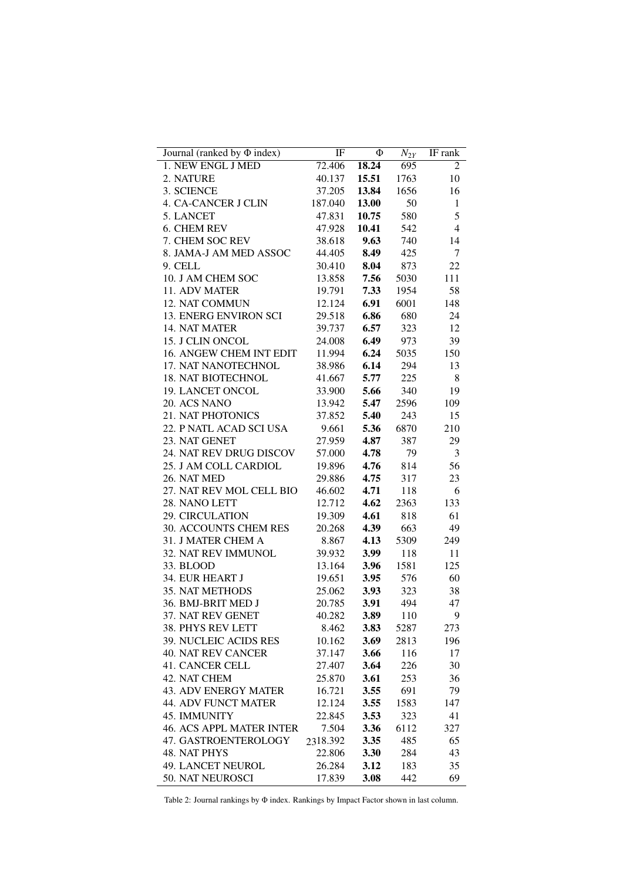| Journal (ranked by $\Phi$ index) | IF       | Φ     | $N_{2Y}$ | IF rank        |
|----------------------------------|----------|-------|----------|----------------|
| 1. NEW ENGL J MED                | 72.406   | 18.24 | 695      | 2              |
| 2. NATURE                        | 40.137   | 15.51 | 1763     | 10             |
| 3. SCIENCE                       | 37.205   | 13.84 | 1656     | 16             |
| 4. CA-CANCER J CLIN              | 187.040  | 13.00 | 50       | $\mathbf{1}$   |
| 5. LANCET                        | 47.831   | 10.75 | 580      | 5              |
| <b>6. CHEM REV</b>               | 47.928   | 10.41 | 542      | $\overline{4}$ |
| 7. CHEM SOC REV                  | 38.618   | 9.63  | 740      | 14             |
| 8. JAMA-J AM MED ASSOC           | 44.405   | 8.49  | 425      | 7              |
| 9. CELL                          | 30.410   | 8.04  | 873      | 22             |
| 10. J AM CHEM SOC                | 13.858   | 7.56  | 5030     | 111            |
| 11. ADV MATER                    | 19.791   | 7.33  | 1954     | 58             |
| 12. NAT COMMUN                   | 12.124   | 6.91  | 6001     | 148            |
| 13. ENERG ENVIRON SCI            | 29.518   | 6.86  | 680      | 24             |
| 14. NAT MATER                    | 39.737   | 6.57  | 323      | 12             |
| 15. J CLIN ONCOL                 | 24.008   | 6.49  | 973      | 39             |
| 16. ANGEW CHEM INT EDIT          | 11.994   | 6.24  | 5035     | 150            |
| 17. NAT NANOTECHNOL              | 38.986   | 6.14  | 294      | 13             |
| 18. NAT BIOTECHNOL               | 41.667   | 5.77  | 225      | 8              |
| 19. LANCET ONCOL                 | 33.900   | 5.66  | 340      | 19             |
| 20. ACS NANO                     | 13.942   | 5.47  | 2596     | 109            |
| 21. NAT PHOTONICS                | 37.852   | 5.40  | 243      | 15             |
| 22. P NATL ACAD SCI USA          | 9.661    | 5.36  | 6870     | 210            |
| 23. NAT GENET                    | 27.959   | 4.87  | 387      | 29             |
| 24. NAT REV DRUG DISCOV          | 57.000   | 4.78  | 79       | 3              |
| 25. J AM COLL CARDIOL            | 19.896   | 4.76  | 814      | 56             |
| 26. NAT MED                      | 29.886   | 4.75  | 317      | 23             |
| 27. NAT REV MOL CELL BIO         | 46.602   | 4.71  | 118      | 6              |
| 28. NANO LETT                    | 12.712   | 4.62  | 2363     | 133            |
| 29. CIRCULATION                  | 19.309   | 4.61  | 818      | 61             |
| 30. ACCOUNTS CHEM RES            | 20.268   | 4.39  | 663      | 49             |
| 31. J MATER CHEM A               | 8.867    | 4.13  | 5309     | 249            |
| 32. NAT REV IMMUNOL              | 39.932   | 3.99  | 118      | 11             |
| 33. BLOOD                        | 13.164   | 3.96  | 1581     | 125            |
| 34. EUR HEART J                  | 19.651   | 3.95  | 576      | 60             |
| 35. NAT METHODS                  | 25.062   | 3.93  | 323      | 38             |
| 36. BMJ-BRIT MED J               | 20.785   | 3.91  | 494      | 47             |
| 37. NAT REV GENET                | 40.282   | 3.89  | 110      | 9              |
| 38. PHYS REV LETT                | 8.462    | 3.83  | 5287     | 273            |
| 39. NUCLEIC ACIDS RES            | 10.162   | 3.69  | 2813     | 196            |
| <b>40. NAT REV CANCER</b>        | 37.147   | 3.66  | 116      | 17             |
| <b>41. CANCER CELL</b>           | 27.407   | 3.64  | 226      | 30             |
| 42. NAT CHEM                     | 25.870   | 3.61  | 253      | 36             |
| 43. ADV ENERGY MATER             | 16.721   | 3.55  | 691      | 79             |
| <b>44. ADV FUNCT MATER</b>       | 12.124   | 3.55  | 1583     | 147            |
| 45. IMMUNITY                     | 22.845   | 3.53  | 323      | 41             |
| <b>46. ACS APPL MATER INTER</b>  | 7.504    | 3.36  | 6112     | 327            |
| 47. GASTROENTEROLOGY             | 2318.392 | 3.35  | 485      | 65             |
| 48. NAT PHYS                     | 22.806   | 3.30  | 284      | 43             |
| 49. LANCET NEUROL                | 26.284   | 3.12  | 183      | 35             |
| 50. NAT NEUROSCI                 | 17.839   | 3.08  | 442      | 69             |
|                                  |          |       |          |                |

Table 2: Journal rankings by Φ index. Rankings by Impact Factor shown in last column.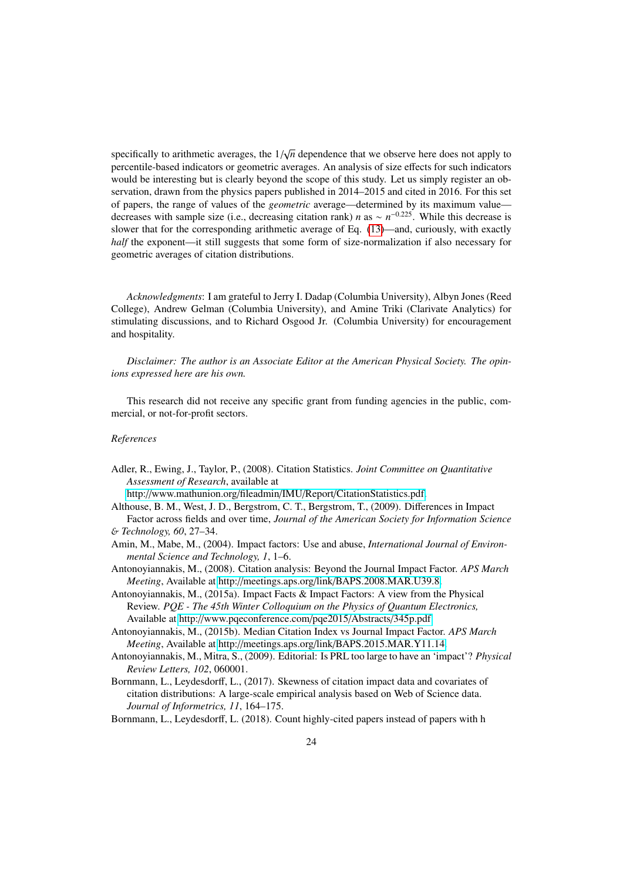specifically to arithmetic averages, the  $1/\sqrt{n}$  dependence that we observe here does not apply to percentile-based indicators or geometric averages. An applyis of size effects for such indicators percentile-based indicators or geometric averages. An analysis of size effects for such indicators would be interesting but is clearly beyond the scope of this study. Let us simply register an observation, drawn from the physics papers published in 2014–2015 and cited in 2016. For this set of papers, the range of values of the *geometric* average—determined by its maximum value decreases with sample size (i.e., decreasing citation rank) *n* as ∼ *n* <sup>−</sup>0.225. While this decrease is slower that for the corresponding arithmetic average of Eq. [\(13\)](#page-8-0)—and, curiously, with exactly *half* the exponent—it still suggests that some form of size-normalization if also necessary for geometric averages of citation distributions.

*Acknowledgments*: I am grateful to Jerry I. Dadap (Columbia University), Albyn Jones (Reed College), Andrew Gelman (Columbia University), and Amine Triki (Clarivate Analytics) for stimulating discussions, and to Richard Osgood Jr. (Columbia University) for encouragement and hospitality.

*Disclaimer: The author is an Associate Editor at the American Physical Society. The opinions expressed here are his own.*

This research did not receive any specific grant from funding agencies in the public, commercial, or not-for-profit sectors.

# *References*

Adler, R., Ewing, J., Taylor, P., (2008). Citation Statistics. *Joint Committee on Quantitative Assessment of Research*, available at

http://www.mathunion.org/fileadmin/IMU/Report/[CitationStatistics.pdf.](http://www.mathunion.org/fileadmin/IMU/Report/CitationStatistics.pdf)

- Althouse, B. M., West, J. D., Bergstrom, C. T., Bergstrom, T., (2009). Differences in Impact Factor across fields and over time, *Journal of the American Society for Information Science* & *Technology, 60*, 27–34.
- Amin, M., Mabe, M., (2004). Impact factors: Use and abuse, *International Journal of Environmental Science and Technology, 1*, 1–6.
- Antonoyiannakis, M., (2008). Citation analysis: Beyond the Journal Impact Factor. *APS March Meeting*, Available at http://meetings.aps.org/link/[BAPS.2008.MAR.U39.8.](http://meetings.aps.org/link/BAPS.2008.MAR.U39.8)
- Antonoyiannakis, M., (2015a). Impact Facts & Impact Factors: A view from the Physical Review. *PQE - The 45th Winter Colloquium on the Physics of Quantum Electronics,* Available at http://[www.pqeconference.com](http://www.pqeconference.com/pqe2015/Abstracts/345p.pdf)/pqe2015/Abstracts/345p.pdf.
- Antonoyiannakis, M., (2015b). Median Citation Index vs Journal Impact Factor. *APS March Meeting*, Available at http://meetings.aps.org/link/[BAPS.2015.MAR.Y11.14.](http://meetings.aps.org/link/BAPS.2015.MAR.Y11.14)
- Antonoyiannakis, M., Mitra, S., (2009). Editorial: Is PRL too large to have an 'impact'? *Physical Review Letters, 102*, 060001.
- Bornmann, L., Leydesdorff, L., (2017). Skewness of citation impact data and covariates of citation distributions: A large-scale empirical analysis based on Web of Science data. *Journal of Informetrics, 11*, 164–175.
- Bornmann, L., Leydesdorff, L. (2018). Count highly-cited papers instead of papers with h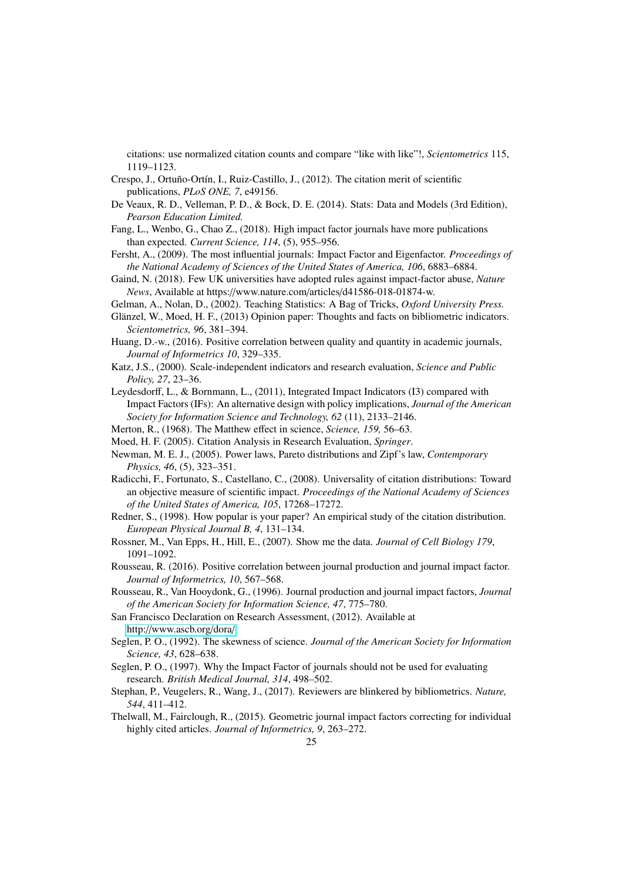citations: use normalized citation counts and compare "like with like"!, *Scientometrics* 115, 1119–1123.

- Crespo, J., Ortuño-Ortín, I., Ruiz-Castillo, J., (2012). The citation merit of scientific publications, *PLoS ONE, 7*, e49156.
- De Veaux, R. D., Velleman, P. D., & Bock, D. E. (2014). Stats: Data and Models (3rd Edition), *Pearson Education Limited.*
- Fang, L., Wenbo, G., Chao Z., (2018). High impact factor journals have more publications than expected. *Current Science, 114*, (5), 955–956.
- Fersht, A., (2009). The most influential journals: Impact Factor and Eigenfactor. *Proceedings of the National Academy of Sciences of the United States of America, 106*, 6883–6884.
- Gaind, N. (2018). Few UK universities have adopted rules against impact-factor abuse, *Nature News*, Available at https://www.nature.com/articles/d41586-018-01874-w.
- Gelman, A., Nolan, D., (2002). Teaching Statistics: A Bag of Tricks, *Oxford University Press.*
- Glänzel, W., Moed, H. F., (2013) Opinion paper: Thoughts and facts on bibliometric indicators. *Scientometrics, 96*, 381–394.
- Huang, D.-w., (2016). Positive correlation between quality and quantity in academic journals, *Journal of Informetrics 10*, 329–335.
- Katz, J.S., (2000). Scale-independent indicators and research evaluation, *Science and Public Policy, 27*, 23–36.
- Leydesdorff, L., & Bornmann, L., (2011), Integrated Impact Indicators (I3) compared with Impact Factors (IFs): An alternative design with policy implications, *Journal of the American Society for Information Science and Technology, 62* (11), 2133–2146.
- Merton, R., (1968). The Matthew effect in science, *Science, 159,* 56–63.
- Moed, H. F. (2005). Citation Analysis in Research Evaluation, *Springer*.
- Newman, M. E. J., (2005). Power laws, Pareto distributions and Zipf's law, *Contemporary Physics, 46*, (5), 323–351.
- Radicchi, F., Fortunato, S., Castellano, C., (2008). Universality of citation distributions: Toward an objective measure of scientific impact. *Proceedings of the National Academy of Sciences of the United States of America, 105*, 17268–17272.
- Redner, S., (1998). How popular is your paper? An empirical study of the citation distribution. *European Physical Journal B, 4*, 131–134.
- Rossner, M., Van Epps, H., Hill, E., (2007). Show me the data. *Journal of Cell Biology 179*, 1091–1092.
- Rousseau, R. (2016). Positive correlation between journal production and journal impact factor. *Journal of Informetrics, 10*, 567–568.
- Rousseau, R., Van Hooydonk, G., (1996). Journal production and journal impact factors, *Journal of the American Society for Information Science, 47*, 775–780.
- San Francisco Declaration on Research Assessment, (2012). Available at http://[www.ascb.org](http://www.ascb.org/dora/)/dora/.
- Seglen, P. O., (1992). The skewness of science. *Journal of the American Society for Information Science, 43*, 628–638.
- Seglen, P. O., (1997). Why the Impact Factor of journals should not be used for evaluating research. *British Medical Journal, 314*, 498–502.
- Stephan, P., Veugelers, R., Wang, J., (2017). Reviewers are blinkered by bibliometrics. *Nature, 544*, 411–412.
- Thelwall, M., Fairclough, R., (2015). Geometric journal impact factors correcting for individual highly cited articles. *Journal of Informetrics, 9*, 263–272.